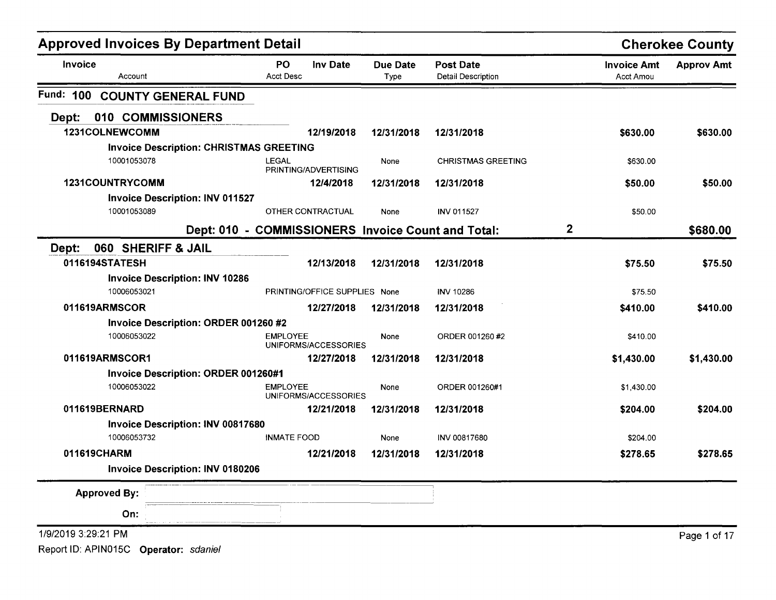| <b>Approved Invoices By Department Detail</b> |                                                |                                                    |                         |                                        |             |                                 | <b>Cherokee County</b> |
|-----------------------------------------------|------------------------------------------------|----------------------------------------------------|-------------------------|----------------------------------------|-------------|---------------------------------|------------------------|
| Invoice                                       | Account                                        | <b>Inv Date</b><br><b>PO</b><br><b>Acct Desc</b>   | <b>Due Date</b><br>Type | <b>Post Date</b><br>Detail Description |             | <b>Invoice Amt</b><br>Acct Amou | <b>Approv Amt</b>      |
| Fund: 100                                     | <b>COUNTY GENERAL FUND</b>                     |                                                    |                         |                                        |             |                                 |                        |
| Dept:                                         | 010 COMMISSIONERS                              |                                                    |                         |                                        |             |                                 |                        |
|                                               | 1231COLNEWCOMM                                 | 12/19/2018                                         | 12/31/2018              | 12/31/2018                             |             | \$630.00                        | \$630.00               |
|                                               | <b>Invoice Description: CHRISTMAS GREETING</b> |                                                    |                         |                                        |             |                                 |                        |
|                                               | 10001053078                                    | LEGAL<br>PRINTING/ADVERTISING                      | None                    | <b>CHRISTMAS GREETING</b>              |             | \$630.00                        |                        |
|                                               | 1231COUNTRYCOMM                                | 12/4/2018                                          | 12/31/2018              | 12/31/2018                             |             | \$50.00                         | \$50.00                |
|                                               | <b>Invoice Description: INV 011527</b>         |                                                    |                         |                                        |             |                                 |                        |
|                                               | 10001053089                                    | OTHER CONTRACTUAL                                  | None                    | <b>INV 011527</b>                      |             | \$50.00                         |                        |
|                                               |                                                | Dept: 010 - COMMISSIONERS Invoice Count and Total: |                         |                                        | $\mathbf 2$ |                                 | \$680.00               |
| Dept:                                         | 060 SHERIFF & JAIL                             |                                                    |                         |                                        |             |                                 |                        |
|                                               | 0116194STATESH                                 | 12/13/2018                                         | 12/31/2018              | 12/31/2018                             |             | \$75.50                         | \$75.50                |
|                                               | <b>Invoice Description: INV 10286</b>          |                                                    |                         |                                        |             |                                 |                        |
|                                               | 10006053021                                    | PRINTING/OFFICE SUPPLIES None                      |                         | <b>INV 10286</b>                       |             | \$75.50                         |                        |
|                                               | 011619ARMSCOR                                  | 12/27/2018                                         | 12/31/2018              | 12/31/2018                             |             | \$410.00                        | \$410.00               |
|                                               | Invoice Description: ORDER 001260 #2           |                                                    |                         |                                        |             |                                 |                        |
|                                               | 10006053022                                    | <b>EMPLOYEE</b><br>UNIFORMS/ACCESSORIES            | None                    | ORDER 001260 #2                        |             | \$410.00                        |                        |
|                                               | 011619ARMSCOR1                                 | 12/27/2018                                         | 12/31/2018              | 12/31/2018                             |             | \$1,430.00                      | \$1,430.00             |
|                                               | <b>Invoice Description: ORDER 001260#1</b>     |                                                    |                         |                                        |             |                                 |                        |
|                                               | 10006053022                                    | <b>EMPLOYEE</b><br>UNIFORMS/ACCESSORIES            | None                    | ORDER 001260#1                         |             | \$1,430.00                      |                        |
|                                               | 011619BERNARD                                  | 12/21/2018                                         | 12/31/2018              | 12/31/2018                             |             | \$204.00                        | \$204.00               |
|                                               | <b>Invoice Description: INV 00817680</b>       |                                                    |                         |                                        |             |                                 |                        |
|                                               | 10006053732                                    | <b>INMATE FOOD</b>                                 | None                    | INV 00817680                           |             | \$204.00                        |                        |
| 011619CHARM                                   |                                                | 12/21/2018                                         | 12/31/2018              | 12/31/2018                             |             | \$278.65                        | \$278.65               |
|                                               | <b>Invoice Description: INV 0180206</b>        |                                                    |                         |                                        |             |                                 |                        |
|                                               | <b>Approved By:</b>                            |                                                    |                         |                                        |             |                                 |                        |
|                                               | On:                                            |                                                    |                         |                                        |             |                                 |                        |
| 1/9/2019 3:29:21 PM                           |                                                |                                                    |                         |                                        |             |                                 | Page 1 of 17           |
|                                               | Report ID: APIN015C Operator: sdaniel          |                                                    |                         |                                        |             |                                 |                        |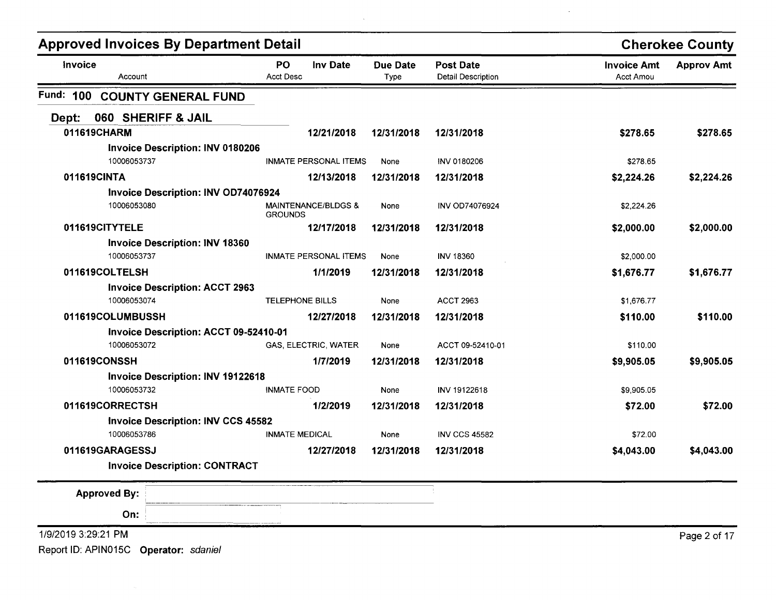| <b>Approved Invoices By Department Detail</b> |                                                  | <b>Cherokee County</b>  |                                        |                                        |                   |
|-----------------------------------------------|--------------------------------------------------|-------------------------|----------------------------------------|----------------------------------------|-------------------|
| Invoice<br>Account                            | PO<br><b>Inv Date</b><br><b>Acct Desc</b>        | <b>Due Date</b><br>Type | <b>Post Date</b><br>Detail Description | <b>Invoice Amt</b><br><b>Acct Amou</b> | <b>Approv Amt</b> |
| Fund: 100<br><b>COUNTY GENERAL FUND</b>       |                                                  |                         |                                        |                                        |                   |
| 060 SHERIFF & JAIL<br>Dept:                   |                                                  |                         |                                        |                                        |                   |
| 011619CHARM                                   | 12/21/2018                                       | 12/31/2018              | 12/31/2018                             | \$278.65                               | \$278.65          |
| <b>Invoice Description: INV 0180206</b>       |                                                  |                         |                                        |                                        |                   |
| 10006053737                                   | <b>INMATE PERSONAL ITEMS</b>                     | None                    | INV 0180206                            | \$278.65                               |                   |
| 011619CINTA                                   | 12/13/2018                                       | 12/31/2018              | 12/31/2018                             | \$2,224.26                             | \$2,224.26        |
| Invoice Description: INV OD74076924           |                                                  |                         |                                        |                                        |                   |
| 10006053080                                   | <b>MAINTENANCE/BLDGS &amp;</b><br><b>GROUNDS</b> | None                    | <b>INV OD74076924</b>                  | \$2,224.26                             |                   |
| 011619CITYTELE                                | 12/17/2018                                       | 12/31/2018              | 12/31/2018                             | \$2,000.00                             | \$2,000.00        |
| <b>Invoice Description: INV 18360</b>         |                                                  |                         |                                        |                                        |                   |
| 10006053737                                   | <b>INMATE PERSONAL ITEMS</b>                     | None                    | <b>INV 18360</b>                       | \$2,000.00                             |                   |
| 011619COLTELSH                                | 1/1/2019                                         | 12/31/2018              | 12/31/2018                             | \$1,676.77                             | \$1,676.77        |
| <b>Invoice Description: ACCT 2963</b>         |                                                  |                         |                                        |                                        |                   |
| 10006053074                                   | <b>TELEPHONE BILLS</b>                           | None                    | <b>ACCT 2963</b>                       | \$1,676.77                             |                   |
| 011619COLUMBUSSH                              | 12/27/2018                                       | 12/31/2018              | 12/31/2018                             | \$110.00                               | \$110.00          |
| Invoice Description: ACCT 09-52410-01         |                                                  |                         |                                        |                                        |                   |
| 10006053072                                   | GAS, ELECTRIC, WATER                             | None                    | ACCT 09-52410-01                       | \$110.00                               |                   |
| 011619CONSSH                                  | 1/7/2019                                         | 12/31/2018              | 12/31/2018                             | \$9,905.05                             | \$9,905.05        |
| <b>Invoice Description: INV 19122618</b>      |                                                  |                         |                                        |                                        |                   |
| 10006053732                                   | <b>INMATE FOOD</b>                               | None                    | <b>INV 19122618</b>                    | \$9,905.05                             |                   |
| 011619CORRECTSH                               | 1/2/2019                                         | 12/31/2018              | 12/31/2018                             | \$72.00                                | \$72.00           |
| <b>Invoice Description: INV CCS 45582</b>     |                                                  |                         |                                        |                                        |                   |
| 10006053786                                   | <b>INMATE MEDICAL</b>                            | None                    | <b>INV CCS 45582</b>                   | \$72.00                                |                   |
| 011619GARAGESSJ                               | 12/27/2018                                       | 12/31/2018              | 12/31/2018                             | \$4,043.00                             | \$4,043.00        |
| <b>Invoice Description: CONTRACT</b>          |                                                  |                         |                                        |                                        |                   |
| <b>Approved By:</b>                           |                                                  |                         |                                        |                                        |                   |
| On:                                           |                                                  |                         |                                        |                                        |                   |
| 1/9/2019 3:29:21 PM                           |                                                  |                         |                                        |                                        | Page 2 of 17      |
| Report ID: APIN015C Operator: sdaniel         |                                                  |                         |                                        |                                        |                   |

 $\mathcal{L}$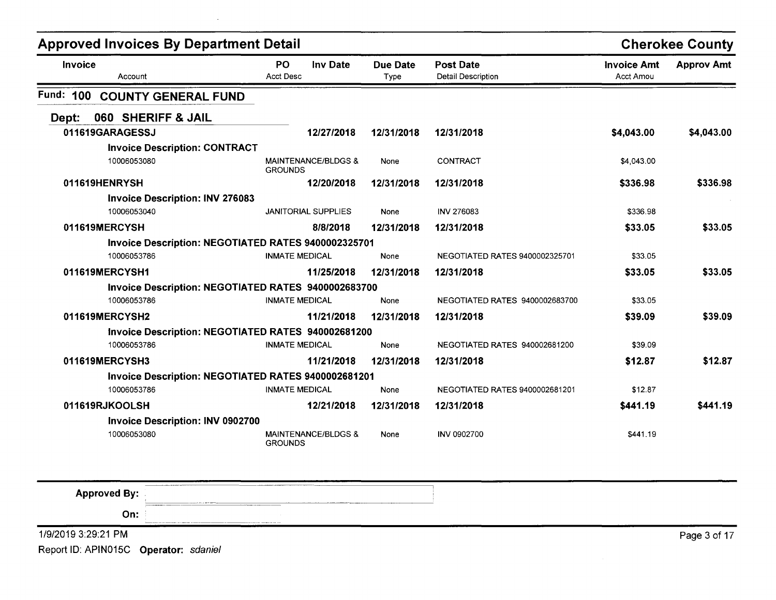| <b>Approved Invoices By Department Detail</b>       |                                       |                         |                                               |                                 | <b>Cherokee County</b> |
|-----------------------------------------------------|---------------------------------------|-------------------------|-----------------------------------------------|---------------------------------|------------------------|
| <b>Invoice</b><br>Account                           | PO.<br><b>Inv Date</b><br>Acct Desc   | <b>Due Date</b><br>Type | <b>Post Date</b><br><b>Detail Description</b> | <b>Invoice Amt</b><br>Acct Amou | <b>Approv Amt</b>      |
| <b>Fund: 100</b><br><b>COUNTY GENERAL FUND</b>      |                                       |                         |                                               |                                 |                        |
| 060 SHERIFF & JAIL<br>Dept:                         |                                       |                         |                                               |                                 |                        |
| 011619GARAGESSJ                                     | 12/27/2018                            | 12/31/2018              | 12/31/2018                                    | \$4,043.00                      | \$4,043.00             |
| <b>Invoice Description: CONTRACT</b>                |                                       |                         |                                               |                                 |                        |
| 10006053080                                         | MAINTENANCE/BLDGS &<br><b>GROUNDS</b> | None                    | <b>CONTRACT</b>                               | \$4,043.00                      |                        |
| 011619HENRYSH                                       | 12/20/2018                            | 12/31/2018              | 12/31/2018                                    | \$336.98                        | \$336.98               |
| <b>Invoice Description: INV 276083</b>              |                                       |                         |                                               |                                 |                        |
| 10006053040                                         | <b>JANITORIAL SUPPLIES</b>            | None                    | INV 276083                                    | \$336.98                        |                        |
| 011619MERCYSH                                       | 8/8/2018                              | 12/31/2018              | 12/31/2018                                    | \$33.05                         | \$33.05                |
| Invoice Description: NEGOTIATED RATES 9400002325701 |                                       |                         |                                               |                                 |                        |
| 10006053786                                         | <b>INMATE MEDICAL</b>                 | None                    | <b>NEGOTIATED RATES 9400002325701</b>         | \$33.05                         |                        |
| 011619MERCYSH1                                      | 11/25/2018                            | 12/31/2018              | 12/31/2018                                    | \$33.05                         | \$33.05                |
| Invoice Description: NEGOTIATED RATES 9400002683700 |                                       |                         |                                               |                                 |                        |
| 10006053786                                         | <b>INMATE MEDICAL</b>                 | None                    | NEGOTIATED RATES 9400002683700                | \$33.05                         |                        |
| 011619MERCYSH2                                      | 11/21/2018                            | 12/31/2018              | 12/31/2018                                    | \$39.09                         | \$39.09                |
| Invoice Description: NEGOTIATED RATES 940002681200  |                                       |                         |                                               |                                 |                        |
| 10006053786                                         | <b>INMATE MEDICAL</b>                 | None                    | NEGOTIATED RATES 940002681200                 | \$39.09                         |                        |
| 011619MERCYSH3                                      | 11/21/2018                            | 12/31/2018              | 12/31/2018                                    | \$12.87                         | \$12.87                |
| Invoice Description: NEGOTIATED RATES 9400002681201 |                                       |                         |                                               |                                 |                        |
| 10006053786                                         | <b>INMATE MEDICAL</b>                 | None                    | <b>NEGOTIATED RATES 9400002681201</b>         | \$12.87                         |                        |
| 011619RJKOOLSH                                      | 12/21/2018                            | 12/31/2018              | 12/31/2018                                    | \$441.19                        | \$441.19               |
| <b>Invoice Description: INV 0902700</b>             |                                       |                         |                                               |                                 |                        |
| 10006053080                                         | MAINTENANCE/BLDGS &<br><b>GROUNDS</b> | None                    | <b>INV 0902700</b>                            | \$441.19                        |                        |

| <b>Approved By:</b> |                                                                                                                                                                                                                                                                                                                                                                                                                                                                                      |              |
|---------------------|--------------------------------------------------------------------------------------------------------------------------------------------------------------------------------------------------------------------------------------------------------------------------------------------------------------------------------------------------------------------------------------------------------------------------------------------------------------------------------------|--------------|
| On:                 | $\begin{tabular}{cccccccccc} \multicolumn{1}{l}{} & \multicolumn{1}{l}{} & \multicolumn{1}{l}{} & \multicolumn{1}{l}{} & \multicolumn{1}{l}{} & \multicolumn{1}{l}{} & \multicolumn{1}{l}{} & \multicolumn{1}{l}{} & \multicolumn{1}{l}{} & \multicolumn{1}{l}{} & \multicolumn{1}{l}{} & \multicolumn{1}{l}{} & \multicolumn{1}{l}{} & \multicolumn{1}{l}{} & \multicolumn{1}{l}{} & \multicolumn{1}{l}{} & \multicolumn{1}{l}{} & \multicolumn{1}{l}{} & \multicolumn{1}{l}{} & \$ |              |
| 1/9/2019 3:29:21 PM |                                                                                                                                                                                                                                                                                                                                                                                                                                                                                      | Page 3 of 17 |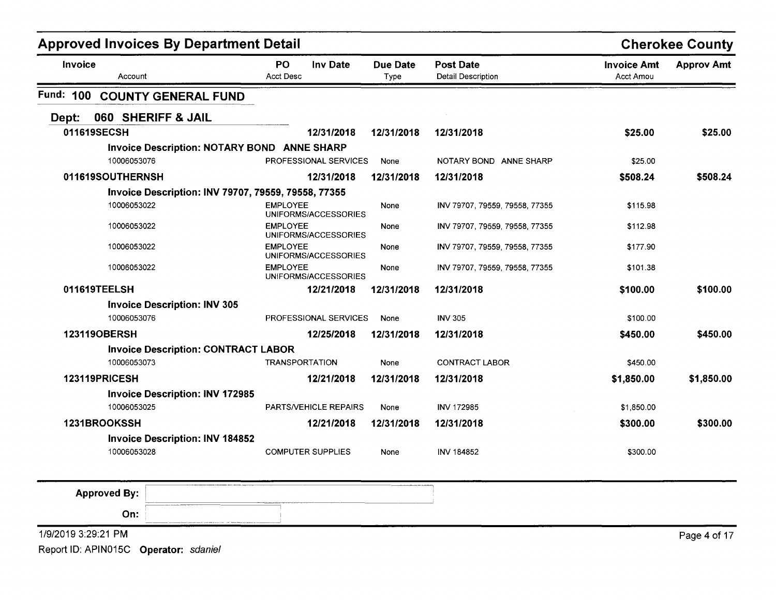| <b>Approved Invoices By Department Detail</b>         |                                           |                  |                                               |                                 | <b>Cherokee County</b> |
|-------------------------------------------------------|-------------------------------------------|------------------|-----------------------------------------------|---------------------------------|------------------------|
| Invoice<br>Account                                    | PO<br><b>Inv Date</b><br><b>Acct Desc</b> | Due Date<br>Type | <b>Post Date</b><br><b>Detail Description</b> | <b>Invoice Amt</b><br>Acct Amou | <b>Approv Amt</b>      |
| Fund: 100<br><b>COUNTY GENERAL FUND</b>               |                                           |                  |                                               |                                 |                        |
| 060 SHERIFF & JAIL<br>Dept:                           |                                           |                  |                                               |                                 |                        |
| 011619SECSH                                           | 12/31/2018                                | 12/31/2018       | 12/31/2018                                    | \$25.00                         | \$25.00                |
| Invoice Description: NOTARY BOND ANNE SHARP           |                                           |                  |                                               |                                 |                        |
| 10006053076                                           | <b>PROFESSIONAL SERVICES</b>              | None             | NOTARY BOND ANNE SHARP                        | \$25.00                         |                        |
| 011619SOUTHERNSH                                      | 12/31/2018                                | 12/31/2018       | 12/31/2018                                    | \$508.24                        | \$508.24               |
| Invoice Description: INV 79707, 79559, 79558, 77355   |                                           |                  |                                               |                                 |                        |
| 10006053022                                           | <b>EMPLOYEE</b><br>UNIFORMS/ACCESSORIES   | None             | INV 79707, 79559, 79558, 77355                | \$115.98                        |                        |
| 10006053022                                           | EMPLOYEE<br>UNIFORMS/ACCESSORIES          | None             | INV 79707, 79559, 79558, 77355                | \$112.98                        |                        |
| 10006053022                                           | <b>EMPLOYEE</b><br>UNIFORMS/ACCESSORIES   | None             | INV 79707, 79559, 79558, 77355                | \$177.90                        |                        |
| 10006053022                                           | <b>EMPLOYEE</b><br>UNIFORMS/ACCESSORIES   | None             | INV 79707, 79559, 79558, 77355                | \$101.38                        |                        |
| 011619TEELSH                                          | 12/21/2018                                | 12/31/2018       | 12/31/2018                                    | \$100.00                        | \$100.00               |
| <b>Invoice Description: INV 305</b>                   |                                           |                  |                                               |                                 |                        |
| 10006053076                                           | PROFESSIONAL SERVICES                     | None             | <b>INV 305</b>                                | \$100.00                        |                        |
| 123119OBERSH                                          | 12/25/2018                                | 12/31/2018       | 12/31/2018                                    | \$450.00                        | \$450.00               |
| <b>Invoice Description: CONTRACT LABOR</b>            |                                           |                  |                                               |                                 |                        |
| 10006053073                                           | <b>TRANSPORTATION</b>                     | None             | <b>CONTRACT LABOR</b>                         | \$450.00                        |                        |
| 123119PRICESH                                         | 12/21/2018                                | 12/31/2018       | 12/31/2018                                    | \$1,850.00                      | \$1,850.00             |
| <b>Invoice Description: INV 172985</b><br>10006053025 | PARTS/VEHICLE REPAIRS                     |                  | <b>INV 172985</b>                             |                                 |                        |
|                                                       |                                           | None             |                                               | \$1,850.00                      |                        |
| 1231BROOKSSH                                          | 12/21/2018                                | 12/31/2018       | 12/31/2018                                    | \$300.00                        | \$300.00               |
| <b>Invoice Description: INV 184852</b><br>10006053028 | <b>COMPUTER SUPPLIES</b>                  | None             | INV 184852                                    | \$300.00                        |                        |

| <b>Approved By:</b> | A 1990 FOR A 2009 AND RESIDENCE OF A 400 AM INTERFERING TO AN A 400 AM INCOME.<br>___ |
|---------------------|---------------------------------------------------------------------------------------|
| On:                 |                                                                                       |
| 1/9/2019 3:29:21 PM | Page 4 of 17                                                                          |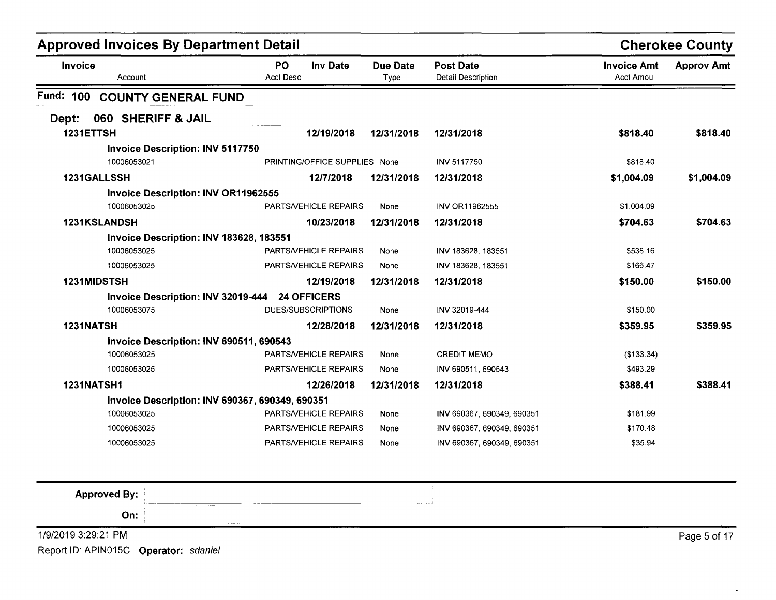| <b>Approved Invoices By Department Detail</b> |                                                  |                         |                                        |                                 | <b>Cherokee County</b> |
|-----------------------------------------------|--------------------------------------------------|-------------------------|----------------------------------------|---------------------------------|------------------------|
| Invoice<br>Account                            | <b>PO</b><br><b>Inv Date</b><br><b>Acct Desc</b> | <b>Due Date</b><br>Type | <b>Post Date</b><br>Detail Description | <b>Invoice Amt</b><br>Acct Amou | <b>Approv Amt</b>      |
| Fund: 100<br><b>COUNTY GENERAL FUND</b>       |                                                  |                         |                                        |                                 |                        |
| 060 SHERIFF & JAIL<br>Dept:                   |                                                  |                         |                                        |                                 |                        |
| 1231ETTSH                                     | 12/19/2018                                       | 12/31/2018              | 12/31/2018                             | \$818.40                        | \$818.40               |
| <b>Invoice Description: INV 5117750</b>       |                                                  |                         |                                        |                                 |                        |
| 10006053021                                   | PRINTING/OFFICE SUPPLIES None                    |                         | <b>INV 5117750</b>                     | \$818.40                        |                        |
| 1231GALLSSH                                   | 12/7/2018                                        | 12/31/2018              | 12/31/2018                             | \$1,004.09                      | \$1,004.09             |
| <b>Invoice Description: INV OR11962555</b>    |                                                  |                         |                                        |                                 |                        |
| 10006053025                                   | PARTS/VEHICLE REPAIRS                            | None                    | INV OR11962555                         | \$1,004.09                      |                        |
| 1231KSLANDSH                                  | 10/23/2018                                       | 12/31/2018              | 12/31/2018                             | \$704.63                        | \$704.63               |
| Invoice Description: INV 183628, 183551       |                                                  |                         |                                        |                                 |                        |
| 10006053025                                   | <b>PARTS/VEHICLE REPAIRS</b>                     | None                    | INV 183628, 183551                     | \$538.16                        |                        |
| 10006053025                                   | <b>PARTS/VEHICLE REPAIRS</b>                     | None                    | INV 183628, 183551                     | \$166.47                        |                        |
| 1231MIDSTSH                                   | 12/19/2018                                       | 12/31/2018              | 12/31/2018                             | \$150.00                        | \$150.00               |
|                                               | Invoice Description: INV 32019-444 24 OFFICERS   |                         |                                        |                                 |                        |
| 10006053075                                   | DUES/SUBSCRIPTIONS                               | None                    | INV 32019-444                          | \$150.00                        |                        |
| 1231NATSH                                     | 12/28/2018                                       | 12/31/2018              | 12/31/2018                             | \$359.95                        | \$359.95               |
| Invoice Description: INV 690511, 690543       |                                                  |                         |                                        |                                 |                        |
| 10006053025                                   | PARTS/VEHICLE REPAIRS                            | None                    | <b>CREDIT MEMO</b>                     | (\$133.34)                      |                        |
| 10006053025                                   | <b>PARTS/VEHICLE REPAIRS</b>                     | None                    | INV 690511, 690543                     | \$493.29                        |                        |
| <b>1231NATSH1</b>                             | 12/26/2018                                       | 12/31/2018              | 12/31/2018                             | \$388.41                        | \$388.41               |
|                                               | Invoice Description: INV 690367, 690349, 690351  |                         |                                        |                                 |                        |
| 10006053025                                   | <b>PARTS/VEHICLE REPAIRS</b>                     | None                    | INV 690367, 690349, 690351             | \$181.99                        |                        |
| 10006053025                                   | <b>PARTS/VEHICLE REPAIRS</b>                     | None                    | INV 690367, 690349, 690351             | \$170.48                        |                        |
| 10006053025                                   | PARTS/VEHICLE REPAIRS                            | None                    | INV 690367, 690349, 690351             | \$35.94                         |                        |

| <b>Approved By:</b><br><b>Non-terminal contract programs that the con-</b> | ____<br><b>Continuously come that an experimental company</b>                                                  | --------- |                   |
|----------------------------------------------------------------------------|----------------------------------------------------------------------------------------------------------------|-----------|-------------------|
| On:<br><u> 1989 - Maria Alemania (m. 1989)</u>                             | a construction of the contract product and construction of the contract of the contract of the contract of the |           |                   |
| 1/9/2019 3:29:21 PM                                                        |                                                                                                                |           | . of 17<br>Page 5 |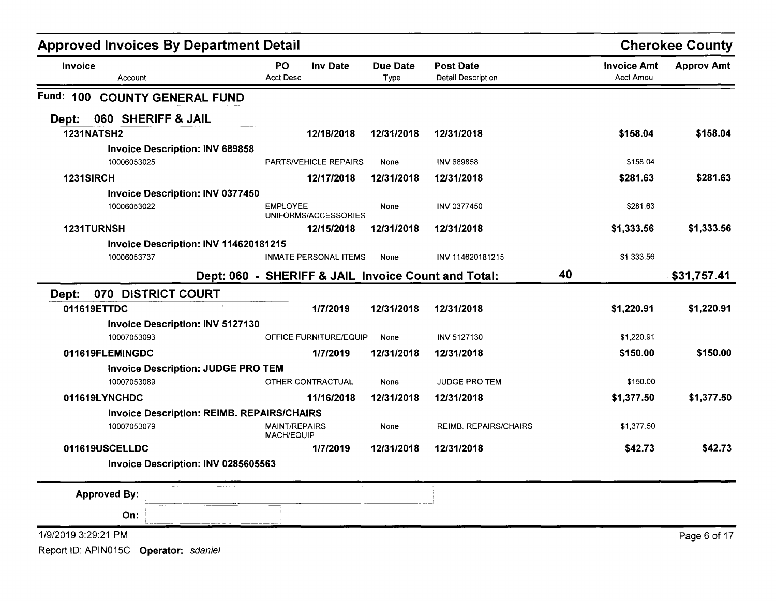| <b>Approved Invoices By Department Detail</b>     |                                           |                              |                         |                                                     |    |                                        | <b>Cherokee County</b> |
|---------------------------------------------------|-------------------------------------------|------------------------------|-------------------------|-----------------------------------------------------|----|----------------------------------------|------------------------|
| Invoice<br>Account                                | PO<br><b>Acct Desc</b>                    | <b>Inv Date</b>              | <b>Due Date</b><br>Type | <b>Post Date</b><br><b>Detail Description</b>       |    | <b>Invoice Amt</b><br><b>Acct Amou</b> | <b>Approv Amt</b>      |
| Fund: 100<br><b>COUNTY GENERAL FUND</b>           |                                           |                              |                         |                                                     |    |                                        |                        |
| 060 SHERIFF & JAIL<br>Dept:                       |                                           |                              |                         |                                                     |    |                                        |                        |
| <b>1231NATSH2</b>                                 |                                           | 12/18/2018                   | 12/31/2018              | 12/31/2018                                          |    | \$158.04                               | \$158.04               |
| <b>Invoice Description: INV 689858</b>            |                                           |                              |                         |                                                     |    |                                        |                        |
| 10006053025                                       |                                           | <b>PARTS/VEHICLE REPAIRS</b> | None                    | INV 689858                                          |    | \$158.04                               |                        |
| 1231SIRCH                                         |                                           | 12/17/2018                   | 12/31/2018              | 12/31/2018                                          |    | \$281.63                               | \$281.63               |
| <b>Invoice Description: INV 0377450</b>           |                                           |                              |                         |                                                     |    |                                        |                        |
| 10006053022                                       | <b>EMPLOYEE</b>                           | UNIFORMS/ACCESSORIES         | None                    | <b>INV 0377450</b>                                  |    | \$281.63                               |                        |
| 1231TURNSH                                        |                                           | 12/15/2018                   | 12/31/2018              | 12/31/2018                                          |    | \$1,333.56                             | \$1,333.56             |
| Invoice Description: INV 114620181215             |                                           |                              |                         |                                                     |    |                                        |                        |
| 10006053737                                       |                                           | <b>INMATE PERSONAL ITEMS</b> | None                    | INV 114620181215                                    |    | \$1,333.56                             |                        |
|                                                   |                                           |                              |                         | Dept: 060 - SHERIFF & JAIL Invoice Count and Total: | 40 |                                        | \$31,757.41            |
| 070 DISTRICT COURT<br>Dept:                       |                                           |                              |                         |                                                     |    |                                        |                        |
| 011619ETTDC                                       |                                           | 1/7/2019                     | 12/31/2018              | 12/31/2018                                          |    | \$1,220.91                             | \$1,220.91             |
| <b>Invoice Description: INV 5127130</b>           |                                           |                              |                         |                                                     |    |                                        |                        |
| 10007053093                                       |                                           | OFFICE FURNITURE/EQUIP       | None                    | <b>INV 5127130</b>                                  |    | \$1,220.91                             |                        |
| 011619FLEMINGDC                                   |                                           | 1/7/2019                     | 12/31/2018              | 12/31/2018                                          |    | \$150.00                               | \$150.00               |
| <b>Invoice Description: JUDGE PRO TEM</b>         |                                           |                              |                         |                                                     |    |                                        |                        |
| 10007053089                                       |                                           | OTHER CONTRACTUAL            | None                    | <b>JUDGE PRO TEM</b>                                |    | \$150.00                               |                        |
| 011619LYNCHDC                                     |                                           | 11/16/2018                   | 12/31/2018              | 12/31/2018                                          |    | \$1,377.50                             | \$1,377.50             |
| <b>Invoice Description: REIMB. REPAIRS/CHAIRS</b> |                                           |                              |                         |                                                     |    |                                        |                        |
| 10007053079                                       | <b>MAINT/REPAIRS</b><br><b>MACH/EQUIP</b> |                              | None                    | <b>REIMB. REPAIRS/CHAIRS</b>                        |    | \$1,377.50                             |                        |
| 011619USCELLDC                                    |                                           | 1/7/2019                     | 12/31/2018              | 12/31/2018                                          |    | \$42.73                                | \$42.73                |
| Invoice Description: INV 0285605563               |                                           |                              |                         |                                                     |    |                                        |                        |
| <b>Approved By:</b>                               |                                           |                              |                         |                                                     |    |                                        |                        |
| On:                                               |                                           |                              |                         |                                                     |    |                                        |                        |
| 1/9/2019 3:29:21 PM                               |                                           |                              |                         |                                                     |    |                                        | Page 6 of 17           |
| Report ID: APIN015C Operator: sdaniel             |                                           |                              |                         |                                                     |    |                                        |                        |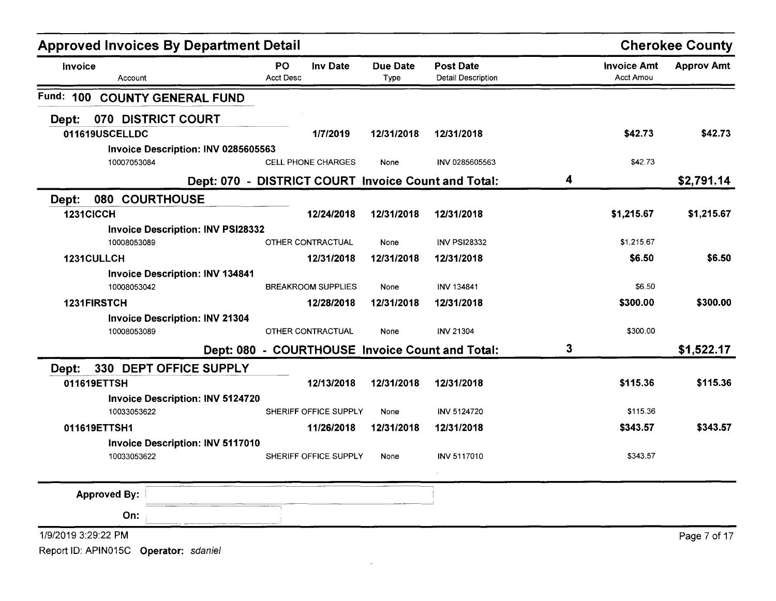| <b>Approved Invoices By Department Detail</b> |                                                     |                         |                                               |   |                                 | <b>Cherokee County</b> |
|-----------------------------------------------|-----------------------------------------------------|-------------------------|-----------------------------------------------|---|---------------------------------|------------------------|
| Invoice<br>Account                            | PO<br><b>Inv Date</b><br><b>Acct Desc</b>           | <b>Due Date</b><br>Type | <b>Post Date</b><br><b>Detail Description</b> |   | <b>Invoice Amt</b><br>Acct Amou | <b>Approv Amt</b>      |
| Fund: 100<br><b>COUNTY GENERAL FUND</b>       |                                                     |                         |                                               |   |                                 |                        |
| 070 DISTRICT COURT<br>Dept:                   |                                                     |                         |                                               |   |                                 |                        |
| 011619USCELLDC                                | 1/7/2019                                            | 12/31/2018              | 12/31/2018                                    |   | \$42.73                         | \$42.73                |
| Invoice Description: INV 0285605563           |                                                     |                         |                                               |   |                                 |                        |
| 10007053084                                   | <b>CELL PHONE CHARGES</b>                           | None                    | INV 0285605563                                |   | \$42.73                         |                        |
|                                               | Dept: 070 - DISTRICT COURT Invoice Count and Total: |                         |                                               | 4 |                                 | \$2,791.14             |
| 080<br><b>COURTHOUSE</b><br>Dept:             |                                                     |                         |                                               |   |                                 |                        |
| 1231CICCH                                     | 12/24/2018                                          | 12/31/2018              | 12/31/2018                                    |   | \$1,215.67                      | \$1,215.67             |
| <b>Invoice Description: INV PSI28332</b>      |                                                     |                         |                                               |   |                                 |                        |
| 10008053089                                   | OTHER CONTRACTUAL                                   | None                    | <b>INV PSI28332</b>                           |   | \$1,215.67                      |                        |
| 1231CULLCH                                    | 12/31/2018                                          | 12/31/2018              | 12/31/2018                                    |   | \$6.50                          | \$6.50                 |
| <b>Invoice Description: INV 134841</b>        |                                                     |                         |                                               |   |                                 |                        |
| 10008053042                                   | <b>BREAKROOM SUPPLIES</b>                           | None                    | INV 134841                                    |   | \$6.50                          |                        |
| 1231FIRSTCH                                   | 12/28/2018                                          | 12/31/2018              | 12/31/2018                                    |   | \$300.00                        | \$300.00               |
| <b>Invoice Description: INV 21304</b>         |                                                     |                         |                                               |   |                                 |                        |
| 10008053089                                   | OTHER CONTRACTUAL                                   | None                    | <b>INV 21304</b>                              |   | \$300.00                        |                        |
|                                               | Dept: 080 - COURTHOUSE Invoice Count and Total:     |                         |                                               | 3 |                                 | \$1,522.17             |
| 330 DEPT OFFICE SUPPLY<br>Dept:               |                                                     |                         |                                               |   |                                 |                        |
| 011619ETTSH                                   | 12/13/2018                                          | 12/31/2018              | 12/31/2018                                    |   | \$115.36                        | \$115.36               |
| <b>Invoice Description: INV 5124720</b>       |                                                     |                         |                                               |   |                                 |                        |
| 10033053622                                   | SHERIFF OFFICE SUPPLY                               | None                    | <b>INV 5124720</b>                            |   | \$115.36                        |                        |
| 011619ETTSH1                                  | 11/26/2018                                          | 12/31/2018              | 12/31/2018                                    |   | \$343.57                        | \$343.57               |
| <b>Invoice Description: INV 5117010</b>       |                                                     |                         |                                               |   |                                 |                        |
| 10033053622                                   | SHERIFF OFFICE SUPPLY                               | None                    | INV 5117010                                   |   | \$343.57                        |                        |
| <b>Approved By:</b>                           |                                                     |                         |                                               |   |                                 |                        |
| On:                                           |                                                     |                         |                                               |   |                                 |                        |
|                                               |                                                     |                         |                                               |   |                                 |                        |
| 1/9/2019 3:29:22 PM                           |                                                     |                         |                                               |   |                                 | Page 7 of 17           |
| Report ID: APIN015C<br>Operator: sdaniel      |                                                     |                         |                                               |   |                                 |                        |

 $\mathcal{L}(\mathcal{L})$  and  $\mathcal{L}(\mathcal{L})$  and  $\mathcal{L}(\mathcal{L})$  are the set of the set of the set of  $\mathcal{L}(\mathcal{L})$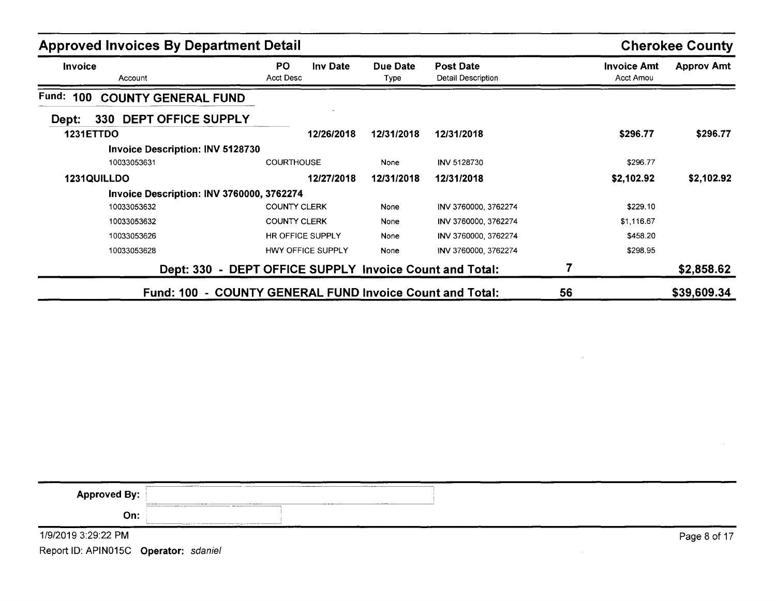| <b>Approved Invoices By Department Detail</b> |                                                         | <b>Cherokee County</b> |                                        |                                        |                   |
|-----------------------------------------------|---------------------------------------------------------|------------------------|----------------------------------------|----------------------------------------|-------------------|
| <b>Invoice</b><br>Account                     | PO.<br><b>Inv Date</b><br>Acct Desc                     | Due Date<br>Type       | <b>Post Date</b><br>Detail Description | <b>Invoice Amt</b><br><b>Acct Amou</b> | <b>Approv Amt</b> |
| Fund: 100<br><b>COUNTY GENERAL FUND</b>       |                                                         |                        |                                        |                                        |                   |
| 330 DEPT OFFICE SUPPLY<br>Dept:               |                                                         |                        |                                        |                                        |                   |
| <b>1231ETTDO</b>                              | 12/26/2018                                              | 12/31/2018             | 12/31/2018                             | \$296.77                               | \$296.77          |
| <b>Invoice Description: INV 5128730</b>       |                                                         |                        |                                        |                                        |                   |
| 10033053631                                   | <b>COURTHOUSE</b>                                       | None                   | INV 5128730                            | \$296.77                               |                   |
| 1231QUILLDO                                   | 12/27/2018                                              | 12/31/2018             | 12/31/2018                             | \$2,102.92                             | \$2,102.92        |
| Invoice Description: INV 3760000, 3762274     |                                                         |                        |                                        |                                        |                   |
| 10033053632                                   | <b>COUNTY CLERK</b>                                     | None                   | INV 3760000, 3762274                   | \$229.10                               |                   |
| 10033053632                                   | <b>COUNTY CLERK</b>                                     | None                   | INV 3760000, 3762274                   | \$1,116.67                             |                   |
| 10033053626                                   | HR OFFICE SUPPLY                                        | None                   | INV 3760000, 3762274                   | \$458.20                               |                   |
| 10033053628                                   | HWY OFFICE SUPPLY                                       | None                   | INV 3760000, 3762274                   | \$298.95                               |                   |
|                                               | Dept: 330 - DEPT OFFICE SUPPLY Invoice Count and Total: |                        |                                        |                                        | \$2,858.62        |
| <b>Fund: 100</b>                              | - COUNTY GENERAL FUND Invoice Count and Total:          |                        |                                        | 56                                     | \$39,609.34       |

| <b>Approved By:</b><br><b>SALE MARKET</b> | ______<br>____________<br>______<br>__________                                                                                                                                                                                                        |              |
|-------------------------------------------|-------------------------------------------------------------------------------------------------------------------------------------------------------------------------------------------------------------------------------------------------------|--------------|
| On:                                       | $\overline{\phantom{a}}$ and $\overline{\phantom{a}}$ and $\overline{\phantom{a}}$ and $\overline{\phantom{a}}$ and $\overline{\phantom{a}}$ and $\overline{\phantom{a}}$ and $\overline{\phantom{a}}$<br>----<br>Systems companies and the companies |              |
| 1/9/2019 3:29:22 PM                       |                                                                                                                                                                                                                                                       | Page 8 of 17 |

 $\mathcal{L}$ 

 $\sim 10^7$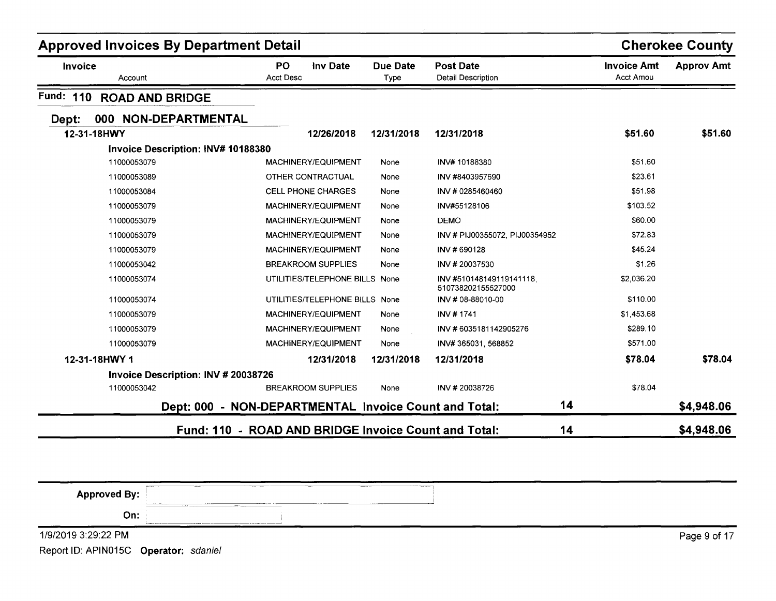| <b>Approved Invoices By Department Detail</b> |                                                       |                         |                                                |                                 | <b>Cherokee County</b> |
|-----------------------------------------------|-------------------------------------------------------|-------------------------|------------------------------------------------|---------------------------------|------------------------|
| <b>Invoice</b><br>Account                     | <b>PO</b><br>Inv Date<br><b>Acct Desc</b>             | <b>Due Date</b><br>Type | <b>Post Date</b><br><b>Detail Description</b>  | <b>Invoice Amt</b><br>Acct Amou | <b>Approv Amt</b>      |
| Fund: 110<br><b>ROAD AND BRIDGE</b>           |                                                       |                         |                                                |                                 |                        |
| 000 NON-DEPARTMENTAL<br>Dept:                 |                                                       |                         |                                                |                                 |                        |
| 12-31-18HWY                                   | 12/26/2018                                            | 12/31/2018              | 12/31/2018                                     | \$51.60                         | \$51.60                |
| Invoice Description: INV# 10188380            |                                                       |                         |                                                |                                 |                        |
| 11000053079                                   | MACHINERY/EQUIPMENT                                   | None                    | INV#10188380                                   | \$51.60                         |                        |
| 11000053089                                   | OTHER CONTRACTUAL                                     | None                    | INV #8403957690                                | \$23.61                         |                        |
| 11000053084                                   | <b>CELL PHONE CHARGES</b>                             | None                    | INV # 0285460460                               | \$51.98                         |                        |
| 11000053079                                   | MACHINERY/EQUIPMENT                                   | None                    | INV#55128106                                   | \$103.52                        |                        |
| 11000053079                                   | MACHINERY/EQUIPMENT                                   | None                    | <b>DEMO</b>                                    | \$60.00                         |                        |
| 11000053079                                   | MACHINERY/EQUIPMENT                                   | None                    | INV # PIJ00355072, PIJ00354952                 | \$72.83                         |                        |
| 11000053079                                   | MACHINERY/EQUIPMENT                                   | None                    | INV #690128                                    | \$45.24                         |                        |
| 11000053042                                   | <b>BREAKROOM SUPPLIES</b>                             | None                    | INV #20037530                                  | \$1.26                          |                        |
| 11000053074                                   | UTILITIES/TELEPHONE BILLS None                        |                         | INV #510148149119141118.<br>510738202155527000 | \$2,036.20                      |                        |
| 11000053074                                   | UTILITIES/TELEPHONE BILLS None                        |                         | INV # 08-88010-00                              | \$110.00                        |                        |
| 11000053079                                   | MACHINERY/EQUIPMENT                                   | None                    | INV #1741                                      | \$1,453.68                      |                        |
| 11000053079                                   | MACHINERY/EQUIPMENT                                   | None                    | INV #6035181142905276                          | \$289.10                        |                        |
| 11000053079                                   | MACHINERY/EQUIPMENT                                   | None                    | INV# 365031, 568852                            | \$571.00                        |                        |
| 12-31-18HWY 1                                 | 12/31/2018                                            | 12/31/2018              | 12/31/2018                                     | \$78.04                         | \$78.04                |
| Invoice Description: INV # 20038726           |                                                       |                         |                                                |                                 |                        |
| 11000053042                                   | <b>BREAKROOM SUPPLIES</b>                             | None                    | INV #20038726                                  | \$78.04                         |                        |
|                                               | Dept: 000 - NON-DEPARTMENTAL Invoice Count and Total: |                         | 14                                             |                                 | \$4,948.06             |
|                                               | Fund: 110 - ROAD AND BRIDGE Invoice Count and Total:  |                         | 14                                             |                                 | \$4,948.06             |

| $-$<br><b>Approved By:</b><br><b>Second Advised Associate</b> | -----<br>$-$<br><b>Construction</b><br>The basic contracts | --------<br>-------- |              |
|---------------------------------------------------------------|------------------------------------------------------------|----------------------|--------------|
| _____<br>On:<br>$1.1$ and $1.1$ and $1.1$ and $1.1$ and $1.1$ |                                                            |                      |              |
| 1/9/2019 3:29:22 PM                                           |                                                            |                      | Page 9 of 17 |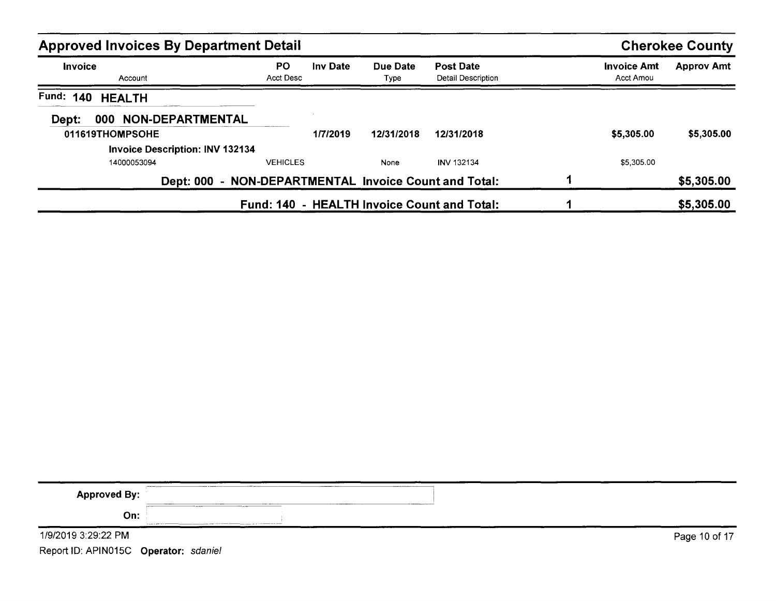| <b>Approved Invoices By Department Detail</b> |                  |                 |                  |                                             |                                 | <b>Cherokee County</b> |
|-----------------------------------------------|------------------|-----------------|------------------|---------------------------------------------|---------------------------------|------------------------|
| <b>Invoice</b><br>Account                     | PO.<br>Acct Desc | <b>Inv Date</b> | Due Date<br>Type | <b>Post Date</b><br>Detail Description      | <b>Invoice Amt</b><br>Acct Amou | <b>Approv Amt</b>      |
| Fund: 140<br><b>HEALTH</b>                    |                  |                 |                  |                                             |                                 |                        |
| 000 NON-DEPARTMENTAL<br>Dept:                 |                  |                 |                  |                                             |                                 |                        |
| 011619THOMPSOHE                               |                  | 1/7/2019        | 12/31/2018       | 12/31/2018                                  | \$5,305.00                      | \$5,305.00             |
| <b>Invoice Description: INV 132134</b>        |                  |                 |                  |                                             |                                 |                        |
| 14000053094                                   | <b>VEHICLES</b>  |                 | None             | <b>INV 132134</b>                           | \$5,305.00                      |                        |
| <b>Dept: 000</b>                              |                  |                 |                  | - NON-DEPARTMENTAL Invoice Count and Total: |                                 | \$5,305.00             |
|                                               |                  |                 |                  | Fund: 140 - HEALTH Invoice Count and Total: |                                 | \$5,305.00             |

| <b>Approved By:</b>                                                                     | ___<br><b>CONTRACTOR</b><br><b>ALCOHOL: YESHING</b>                                                                                                                               |
|-----------------------------------------------------------------------------------------|-----------------------------------------------------------------------------------------------------------------------------------------------------------------------------------|
| On:                                                                                     | <b><i><u>ALLEY COMPANY</u></i></b><br>for any any content of the company and the content of the content of the company and a content of the company of the company of the content |
| 1/9/2019 3:29:22 PM                                                                     | Page 10 of 17                                                                                                                                                                     |
| $\mathbb{R}$ . $\mathbb{R}$ . $\mathbb{R}$ . $\mathbb{R}$ . $\mathbb{R}$ . $\mathbb{R}$ |                                                                                                                                                                                   |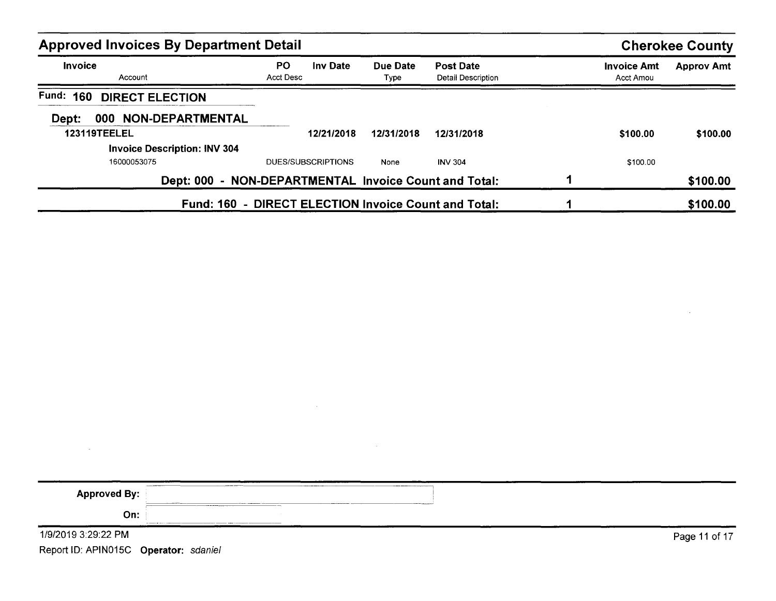| <b>Approved Invoices By Department Detail</b> |                                                       |                  |                                        |                                 | <b>Cherokee County</b> |
|-----------------------------------------------|-------------------------------------------------------|------------------|----------------------------------------|---------------------------------|------------------------|
| <b>Invoice</b><br>Account                     | <b>PO</b><br><b>Inv Date</b><br>Acct Desc             | Due Date<br>Type | Post Date<br><b>Detail Description</b> | <b>Invoice Amt</b><br>Acct Amou | <b>Approv Amt</b>      |
| <b>Fund: 160</b><br><b>DIRECT ELECTION</b>    |                                                       |                  |                                        |                                 |                        |
| 000 NON-DEPARTMENTAL<br>Dept:                 |                                                       |                  |                                        |                                 |                        |
| <b>123119TEELEL</b>                           | 12/21/2018                                            | 12/31/2018       | 12/31/2018                             | \$100.00                        | \$100.00               |
| <b>Invoice Description: INV 304</b>           |                                                       |                  |                                        |                                 |                        |
| 16000053075                                   | <b>DUES/SUBSCRIPTIONS</b>                             | None             | <b>INV 304</b>                         | \$100.00                        |                        |
|                                               | Dept: 000 - NON-DEPARTMENTAL Invoice Count and Total: |                  |                                        |                                 | \$100.00               |
|                                               | Fund: 160 - DIRECT ELECTION Invoice Count and Total:  |                  |                                        |                                 | \$100.00               |

| <b>Approved By:</b>                   |               |
|---------------------------------------|---------------|
| On:                                   |               |
| 1/9/2019 3:29:22 PM                   | Page 11 of 17 |
| Report ID: APIN015C Operator: sdaniel |               |

 $\mathcal{L}(\mathcal{L}(\mathcal{L}))$  and  $\mathcal{L}(\mathcal{L}(\mathcal{L}))$  . The contribution of  $\mathcal{L}(\mathcal{L})$ 

 $\label{eq:2.1} \mathcal{L}(\mathcal{L}^{\mathcal{L}}_{\mathcal{L}}(\mathcal{L}^{\mathcal{L}}_{\mathcal{L}})) = \mathcal{L}(\mathcal{L}^{\mathcal{L}}_{\mathcal{L}}(\mathcal{L}^{\mathcal{L}}_{\mathcal{L}})) = \mathcal{L}(\mathcal{L}^{\mathcal{L}}_{\mathcal{L}}(\mathcal{L}^{\mathcal{L}}_{\mathcal{L}}))$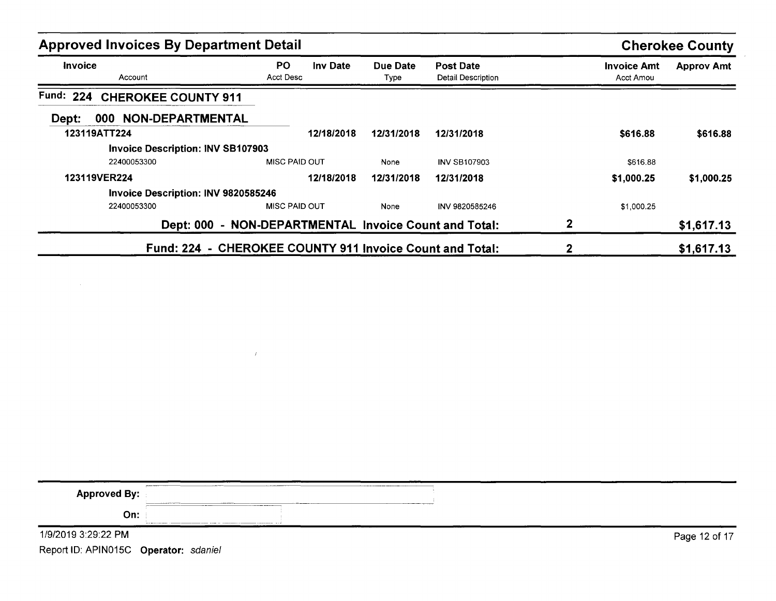| <b>Approved Invoices By Department Detail</b> |                                                          |                  |                                        |                                        | <b>Cherokee County</b> |
|-----------------------------------------------|----------------------------------------------------------|------------------|----------------------------------------|----------------------------------------|------------------------|
| Invoice<br>Account                            | PO.<br><b>Inv Date</b><br>Acct Desc                      | Due Date<br>Type | <b>Post Date</b><br>Detail Description | <b>Invoice Amt</b><br><b>Acct Amou</b> | <b>Approv Amt</b>      |
| Fund: 224<br><b>CHEROKEE COUNTY 911</b>       |                                                          |                  |                                        |                                        |                        |
| NON-DEPARTMENTAL<br>Dept:<br>000              |                                                          |                  |                                        |                                        |                        |
| 123119ATT224                                  | 12/18/2018                                               | 12/31/2018       | 12/31/2018                             | \$616.88                               | \$616.88               |
| <b>Invoice Description: INV SB107903</b>      |                                                          |                  |                                        |                                        |                        |
| 22400053300                                   | MISC PAID OUT                                            | None             | <b>INV SB107903</b>                    | \$616.88                               |                        |
| 123119VER224                                  | 12/18/2018                                               | 12/31/2018       | 12/31/2018                             | \$1,000.25                             | \$1,000.25             |
| Invoice Description: INV 9820585246           |                                                          |                  |                                        |                                        |                        |
| 22400053300                                   | <b>MISC PAID OUT</b>                                     | None             | INV 9820585246                         | \$1,000.25                             |                        |
|                                               | Dept: 000 - NON-DEPARTMENTAL Invoice Count and Total:    |                  |                                        |                                        | \$1,617.13             |
|                                               | Fund: 224 - CHEROKEE COUNTY 911 Invoice Count and Total: |                  |                                        |                                        | \$1,617.13             |

| Approved By:        | $\frac{1}{2}$<br>____<br><b>The contract of the company and contract of the company of the contract of the contract of the contract of the</b><br><b><i><u>COLORESS</u></i></b>                                                                               |               |
|---------------------|---------------------------------------------------------------------------------------------------------------------------------------------------------------------------------------------------------------------------------------------------------------|---------------|
| On:                 | ---------<br>______________<br>The contract of the contract of the contract of the contract of the contract of the contract of the contract of the contract of the contract of the contract of the contract of the contract of the contract of the contract o |               |
| 1/9/2019 3:29:22 PM |                                                                                                                                                                                                                                                               | Page 12 of 17 |

 $\mathcal{A}^{\pm}$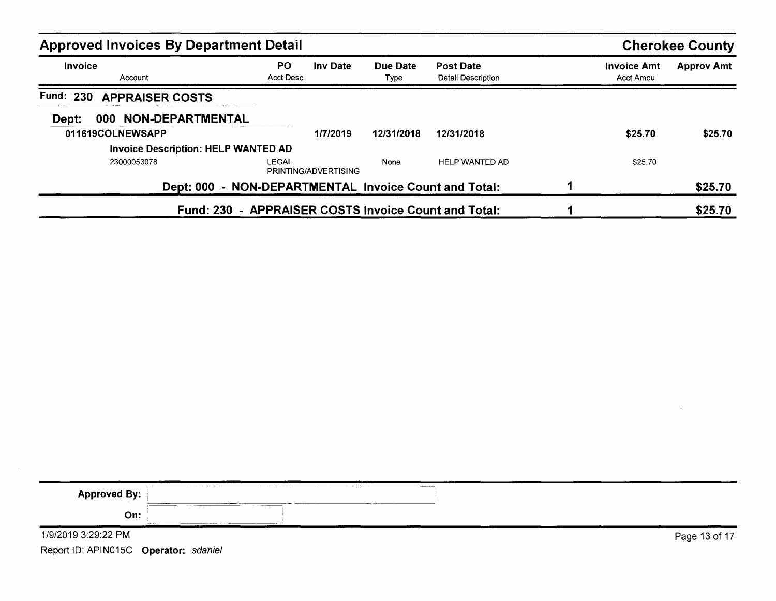| <b>Approved Invoices By Department Detail</b>         |                  |                      |                         |                                        |                                 | <b>Cherokee County</b> |
|-------------------------------------------------------|------------------|----------------------|-------------------------|----------------------------------------|---------------------------------|------------------------|
| <b>Invoice</b><br>Account                             | PO.<br>Acct Desc | <b>Inv Date</b>      | Due Date<br><b>Type</b> | <b>Post Date</b><br>Detail Description | <b>Invoice Amt</b><br>Acct Amou | <b>Approv Amt</b>      |
| <b>Fund: 230</b><br><b>APPRAISER COSTS</b>            |                  |                      |                         |                                        |                                 |                        |
| NON-DEPARTMENTAL<br>000<br>Dept:                      |                  |                      |                         |                                        |                                 |                        |
| 011619COLNEWSAPP                                      |                  | 1/7/2019             | 12/31/2018              | 12/31/2018                             | \$25.70                         | \$25.70                |
| <b>Invoice Description: HELP WANTED AD</b>            |                  |                      |                         |                                        |                                 |                        |
| 23000053078                                           | LEGAL            | PRINTING/ADVERTISING | None                    | <b>HELP WANTED AD</b>                  | \$25.70                         |                        |
| Dept: 000 - NON-DEPARTMENTAL Invoice Count and Total: |                  |                      |                         |                                        |                                 | \$25.70                |
| Fund: 230 - APPRAISER COSTS Invoice Count and Total:  |                  |                      |                         |                                        |                                 | \$25.70                |

| <b>Approved By:</b>                   |                                                                    |               |
|---------------------------------------|--------------------------------------------------------------------|---------------|
| On:                                   | The first continuum company company and a rest from the<br>------- |               |
| 1/9/2019 3:29:22 PM                   |                                                                    | Page 13 of 17 |
| Report ID: APIN015C Operator: sdaniel |                                                                    |               |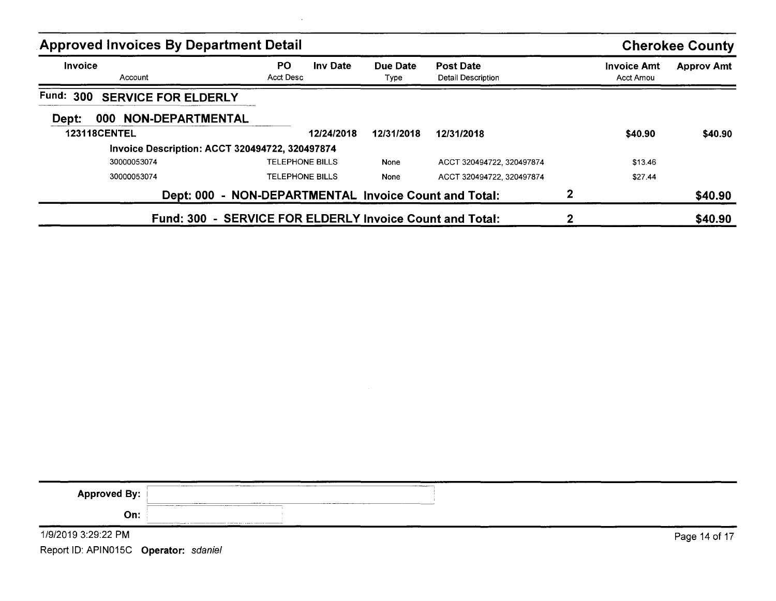| <b>Approved Invoices By Department Detail</b>            |                        |                 |                  |                                             |   |                                 | <b>Cherokee County</b> |
|----------------------------------------------------------|------------------------|-----------------|------------------|---------------------------------------------|---|---------------------------------|------------------------|
| <b>Invoice</b><br>Account                                | PO.<br>Acct Desc       | <b>Inv Date</b> | Due Date<br>Type | <b>Post Date</b><br>Detail Description      |   | <b>Invoice Amt</b><br>Acct Amou | <b>Approv Amt</b>      |
| <b>Fund: 300</b><br><b>SERVICE FOR ELDERLY</b>           |                        |                 |                  |                                             |   |                                 |                        |
| NON-DEPARTMENTAL<br>000<br>Dept:                         |                        |                 |                  |                                             |   |                                 |                        |
| <b>123118CENTEL</b>                                      |                        | 12/24/2018      | 12/31/2018       | 12/31/2018                                  |   | \$40.90                         | \$40.90                |
| Invoice Description: ACCT 320494722, 320497874           |                        |                 |                  |                                             |   |                                 |                        |
| 30000053074                                              | <b>TELEPHONE BILLS</b> |                 | None             | ACCT 320494722, 320497874                   |   | \$13.46                         |                        |
| 30000053074                                              | TELEPHONE BILLS        |                 | None             | ACCT 320494722, 320497874                   |   | \$27.44                         |                        |
| <b>Dept: 000</b>                                         |                        |                 |                  | - NON-DEPARTMENTAL Invoice Count and Total: | 2 |                                 | \$40.90                |
| Fund: 300 - SERVICE FOR ELDERLY Invoice Count and Total: |                        |                 |                  |                                             |   |                                 | \$40.90                |

| <b>Approved By:</b>                   | <b>Send Thomas Andrews</b> |               |
|---------------------------------------|----------------------------|---------------|
| On:                                   | ------                     |               |
| 1/9/2019 3:29:22 PM                   |                            | Page 14 of 17 |
| Report ID: APIN015C Operator: sdaniel |                            |               |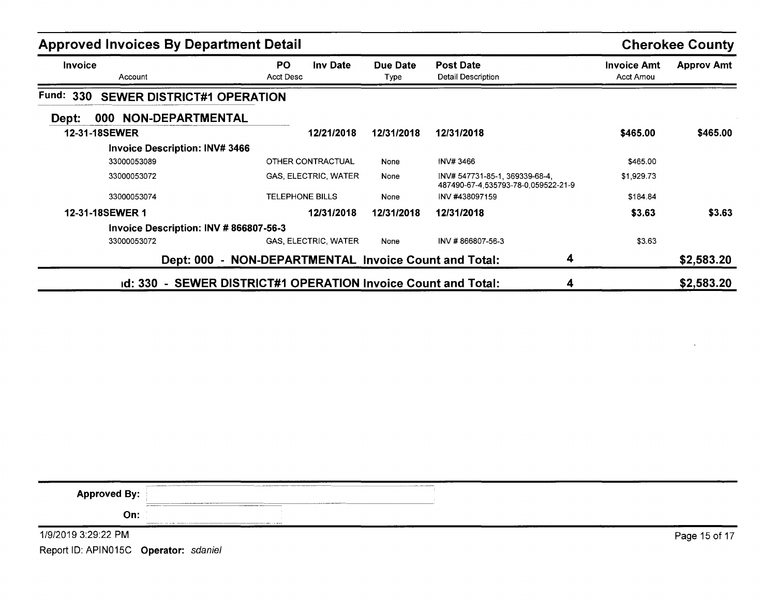| <b>Approved Invoices By Department Detail</b>                 |                                                       |                  |                                                                       |                                        | <b>Cherokee County</b> |
|---------------------------------------------------------------|-------------------------------------------------------|------------------|-----------------------------------------------------------------------|----------------------------------------|------------------------|
| <b>Invoice</b><br>Account                                     | PO.<br><b>Inv Date</b><br><b>Acct Desc</b>            | Due Date<br>Type | <b>Post Date</b><br>Detail Description                                | <b>Invoice Amt</b><br><b>Acct Amou</b> | <b>Approv Amt</b>      |
| <b>Fund: 330</b><br><b>SEWER DISTRICT#1 OPERATION</b>         |                                                       |                  |                                                                       |                                        |                        |
| 000 NON-DEPARTMENTAL<br>Dept:                                 |                                                       |                  |                                                                       |                                        |                        |
| <b>12-31-18SEWER</b>                                          | 12/21/2018                                            | 12/31/2018       | 12/31/2018                                                            | \$465.00                               | \$465.00               |
| <b>Invoice Description: INV# 3466</b>                         |                                                       |                  |                                                                       |                                        |                        |
| 33000053089                                                   | OTHER CONTRACTUAL                                     | None             | INV# 3466                                                             | \$465.00                               |                        |
| 33000053072                                                   | <b>GAS, ELECTRIC, WATER</b>                           | None             | INV# 547731-85-1, 369339-68-4,<br>487490-67-4,535793-78-0,059522-21-9 | \$1,929.73                             |                        |
| 33000053074                                                   | <b>TELEPHONE BILLS</b>                                | None             | INV #438097159                                                        | \$184.84                               |                        |
| 12-31-18SEWER 1                                               | 12/31/2018                                            | 12/31/2018       | 12/31/2018                                                            | \$3.63                                 | \$3.63                 |
| Invoice Description: $INV # 866807-56-3$                      |                                                       |                  |                                                                       |                                        |                        |
| 33000053072                                                   | <b>GAS, ELECTRIC, WATER</b>                           | None             | INV #866807-56-3                                                      | \$3.63                                 |                        |
|                                                               | Dept: 000 - NON-DEPARTMENTAL Invoice Count and Total: |                  | 4                                                                     |                                        | \$2,583.20             |
| id: 330 - SEWER DISTRICT#1 OPERATION Invoice Count and Total: |                                                       |                  | 4                                                                     |                                        | \$2,583.20             |

| <b>Approved By:</b>                       | <b>A PERSONAL AVENUE DE L'ANNO DE L'ANNO DE L'ANNO DE L'ANNO DE L'ANNO DE L'ANNO DE L'ANNO DE L'ANNO DE L'ANNO DE</b><br><b>ALL ALL CONSULTING CONTINUES OF A STATE</b> |               |
|-------------------------------------------|-------------------------------------------------------------------------------------------------------------------------------------------------------------------------|---------------|
| On:                                       |                                                                                                                                                                         |               |
| 1/9/2019 3:29:22 PM                       |                                                                                                                                                                         | Page 15 of 17 |
| $\sim$ $\sim$ $\sim$ $\sim$ $\sim$ $\sim$ |                                                                                                                                                                         |               |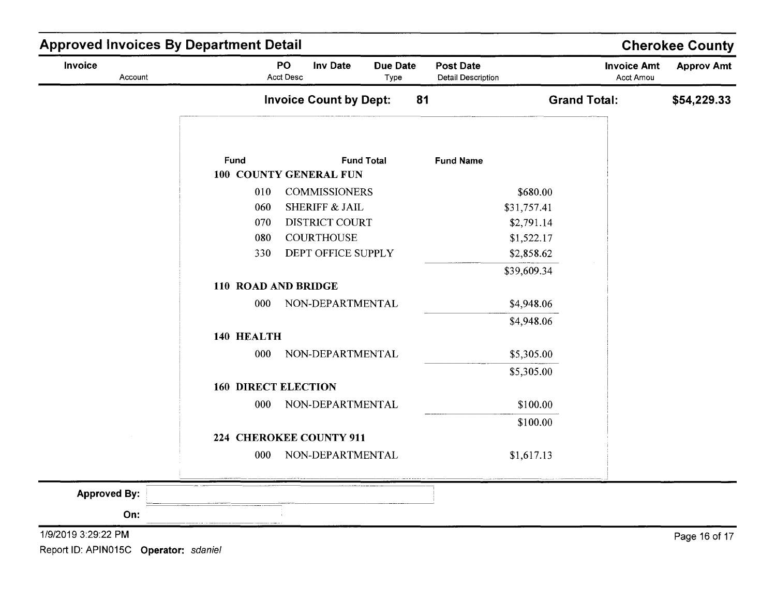| Invoice<br>Account  |                            | PO<br><b>Inv Date</b><br><b>Acct Desc</b> | <b>Due Date</b><br>Type | <b>Post Date</b><br><b>Detail Description</b> | <b>Invoice Amt</b><br>Acct Amou | <b>Approv Amt</b> |
|---------------------|----------------------------|-------------------------------------------|-------------------------|-----------------------------------------------|---------------------------------|-------------------|
|                     |                            | <b>Invoice Count by Dept:</b>             | 81                      |                                               | <b>Grand Total:</b>             | \$54,229.33       |
|                     | Fund                       | <b>Fund Total</b>                         |                         | <b>Fund Name</b>                              |                                 |                   |
|                     |                            | 100 COUNTY GENERAL FUN                    |                         |                                               |                                 |                   |
|                     | 010                        | <b>COMMISSIONERS</b>                      |                         | \$680.00                                      |                                 |                   |
|                     | 060                        | <b>SHERIFF &amp; JAIL</b>                 |                         | \$31,757.41                                   |                                 |                   |
|                     | 070<br>080                 | DISTRICT COURT<br><b>COURTHOUSE</b>       |                         | \$2,791.14                                    |                                 |                   |
|                     | 330                        | DEPT OFFICE SUPPLY                        |                         | \$1,522.17<br>\$2,858.62                      |                                 |                   |
|                     |                            |                                           |                         | \$39,609.34                                   |                                 |                   |
|                     | 110 ROAD AND BRIDGE        |                                           |                         |                                               |                                 |                   |
|                     | 000                        | NON-DEPARTMENTAL                          |                         | \$4,948.06                                    |                                 |                   |
|                     |                            |                                           |                         | \$4,948.06                                    |                                 |                   |
|                     | 140 HEALTH                 |                                           |                         |                                               |                                 |                   |
|                     | 000                        | NON-DEPARTMENTAL                          |                         | \$5,305.00                                    |                                 |                   |
|                     |                            |                                           |                         | \$5,305.00                                    |                                 |                   |
|                     | <b>160 DIRECT ELECTION</b> |                                           |                         |                                               |                                 |                   |
|                     | 000                        | NON-DEPARTMENTAL                          |                         | \$100.00                                      |                                 |                   |
|                     |                            |                                           |                         | \$100.00                                      |                                 |                   |
|                     |                            | 224 CHEROKEE COUNTY 911                   |                         |                                               |                                 |                   |
|                     | 000                        | NON-DEPARTMENTAL                          |                         | \$1,617.13                                    |                                 |                   |
| <b>Approved By:</b> |                            |                                           |                         |                                               |                                 |                   |
| On:                 |                            |                                           |                         |                                               |                                 |                   |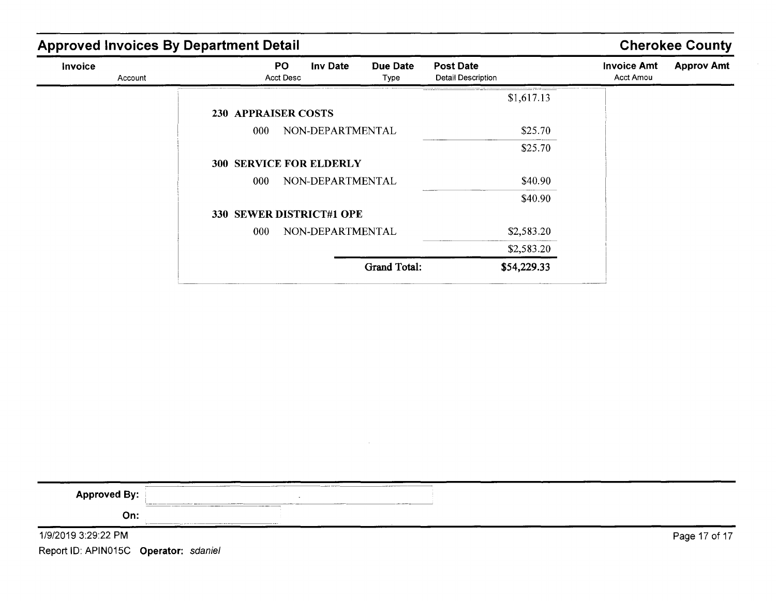| <b>Approved Invoices By Department Detail</b> |                                |                     |                                        |                                 | <b>Cherokee County</b> |
|-----------------------------------------------|--------------------------------|---------------------|----------------------------------------|---------------------------------|------------------------|
| Invoice<br>Account                            | PO.<br>Inv Date<br>Acct Desc   | Due Date<br>Type    | <b>Post Date</b><br>Detail Description | <b>Invoice Amt</b><br>Acct Amou | <b>Approv Amt</b>      |
|                                               |                                |                     | \$1,617.13                             |                                 |                        |
|                                               | <b>230 APPRAISER COSTS</b>     |                     |                                        |                                 |                        |
|                                               | 000                            | NON-DEPARTMENTAL    | \$25.70                                |                                 |                        |
|                                               |                                |                     | \$25.70                                |                                 |                        |
|                                               | <b>300 SERVICE FOR ELDERLY</b> |                     |                                        |                                 |                        |
|                                               | 000                            | NON-DEPARTMENTAL    | \$40.90                                |                                 |                        |
|                                               |                                |                     | \$40.90                                |                                 |                        |
|                                               | 330 SEWER DISTRICT#1 OPE       |                     |                                        |                                 |                        |
|                                               | 000                            | NON-DEPARTMENTAL    | \$2,583.20                             |                                 |                        |
|                                               |                                |                     | \$2,583.20                             |                                 |                        |
|                                               |                                | <b>Grand Total:</b> | \$54,229.33                            |                                 |                        |

| <b>Approved By:</b>                   |                  |       | <b><i><u>ALLEY BERTHERED</u></i></b> |  |               |
|---------------------------------------|------------------|-------|--------------------------------------|--|---------------|
| On:                                   | _______<br>_____ | ----- |                                      |  |               |
| 1/9/2019 3:29:22 PM                   |                  |       |                                      |  | Page 17 of 17 |
| Report ID: APIN015C Operator: sdaniel |                  |       |                                      |  |               |

 $\sim 10^{-1}$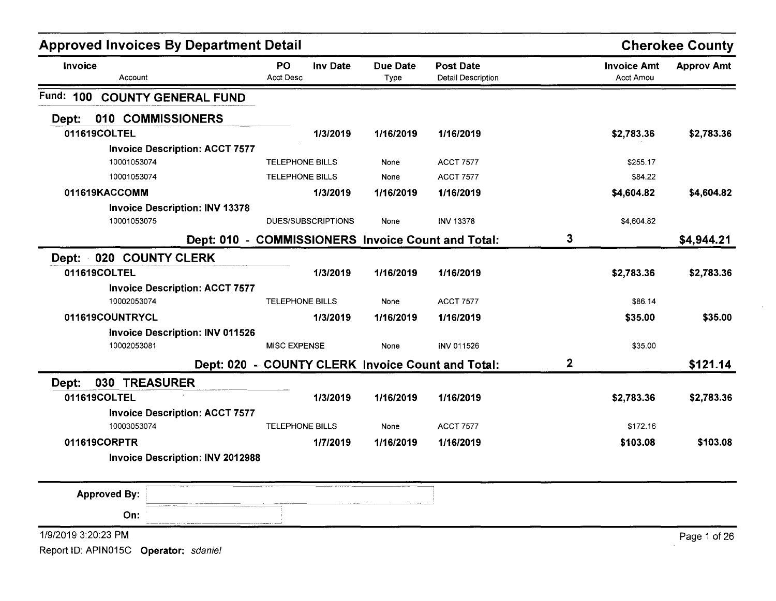| <b>Approved Invoices By Department Detail</b> |                               |                    |                         |                                                    |             |                                 | <b>Cherokee County</b> |
|-----------------------------------------------|-------------------------------|--------------------|-------------------------|----------------------------------------------------|-------------|---------------------------------|------------------------|
| Invoice<br>Account                            | <b>PO</b><br><b>Acct Desc</b> | <b>Inv Date</b>    | <b>Due Date</b><br>Type | <b>Post Date</b><br>Detail Description             |             | <b>Invoice Amt</b><br>Acct Amou | <b>Approv Amt</b>      |
| Fund:<br>100<br><b>COUNTY GENERAL FUND</b>    |                               |                    |                         |                                                    |             |                                 |                        |
| 010 COMMISSIONERS<br>Dept:                    |                               |                    |                         |                                                    |             |                                 |                        |
| 011619COLTEL                                  |                               | 1/3/2019           | 1/16/2019               | 1/16/2019                                          |             | \$2,783.36                      | \$2,783.36             |
| <b>Invoice Description: ACCT 7577</b>         |                               |                    |                         |                                                    |             |                                 |                        |
| 10001053074                                   | <b>TELEPHONE BILLS</b>        |                    | None                    | <b>ACCT 7577</b>                                   |             | \$255.17                        |                        |
| 10001053074                                   | <b>TELEPHONE BILLS</b>        |                    | None                    | <b>ACCT 7577</b>                                   |             | \$84.22                         |                        |
| 011619KACCOMM                                 |                               | 1/3/2019           | 1/16/2019               | 1/16/2019                                          |             | \$4,604.82                      | \$4,604.82             |
| <b>Invoice Description: INV 13378</b>         |                               |                    |                         |                                                    |             |                                 |                        |
| 10001053075                                   |                               | DUES/SUBSCRIPTIONS | None                    | <b>INV 13378</b>                                   |             | \$4,604.82                      |                        |
|                                               |                               |                    |                         | Dept: 010 - COMMISSIONERS Invoice Count and Total: | 3           |                                 | \$4,944.21             |
| Dept: 020 COUNTY CLERK                        |                               |                    |                         |                                                    |             |                                 |                        |
| 011619COLTEL                                  |                               | 1/3/2019           | 1/16/2019               | 1/16/2019                                          |             | \$2,783.36                      | \$2,783.36             |
| <b>Invoice Description: ACCT 7577</b>         |                               |                    |                         |                                                    |             |                                 |                        |
| 10002053074                                   | <b>TELEPHONE BILLS</b>        |                    | None                    | <b>ACCT 7577</b>                                   |             | \$86.14                         |                        |
| 011619COUNTRYCL                               |                               | 1/3/2019           | 1/16/2019               | 1/16/2019                                          |             | \$35.00                         | \$35.00                |
| <b>Invoice Description: INV 011526</b>        |                               |                    |                         |                                                    |             |                                 |                        |
| 10002053081                                   | <b>MISC EXPENSE</b>           |                    | None                    | <b>INV 011526</b>                                  |             | \$35.00                         |                        |
|                                               |                               |                    |                         | Dept: 020 - COUNTY CLERK Invoice Count and Total:  | $\mathbf 2$ |                                 | \$121.14               |
| 030 TREASURER<br>Dept:                        |                               |                    |                         |                                                    |             |                                 |                        |
| 011619COLTEL                                  |                               | 1/3/2019           | 1/16/2019               | 1/16/2019                                          |             | \$2,783.36                      | \$2,783.36             |
| <b>Invoice Description: ACCT 7577</b>         |                               |                    |                         |                                                    |             |                                 |                        |
| 10003053074                                   | <b>TELEPHONE BILLS</b>        |                    | None                    | <b>ACCT 7577</b>                                   |             | \$172.16                        |                        |
| 011619CORPTR                                  |                               | 1/7/2019           | 1/16/2019               | 1/16/2019                                          |             | \$103.08                        | \$103.08               |
| <b>Invoice Description: INV 2012988</b>       |                               |                    |                         |                                                    |             |                                 |                        |
| <b>Approved By:</b>                           |                               |                    |                         |                                                    |             |                                 |                        |
| On:                                           |                               |                    |                         |                                                    |             |                                 |                        |
| 1/9/2019 3:20:23 PM                           |                               |                    |                         |                                                    |             |                                 | Page 1 of 26           |
| Report ID: APIN015C Operator: sdaniel         |                               |                    |                         |                                                    |             |                                 |                        |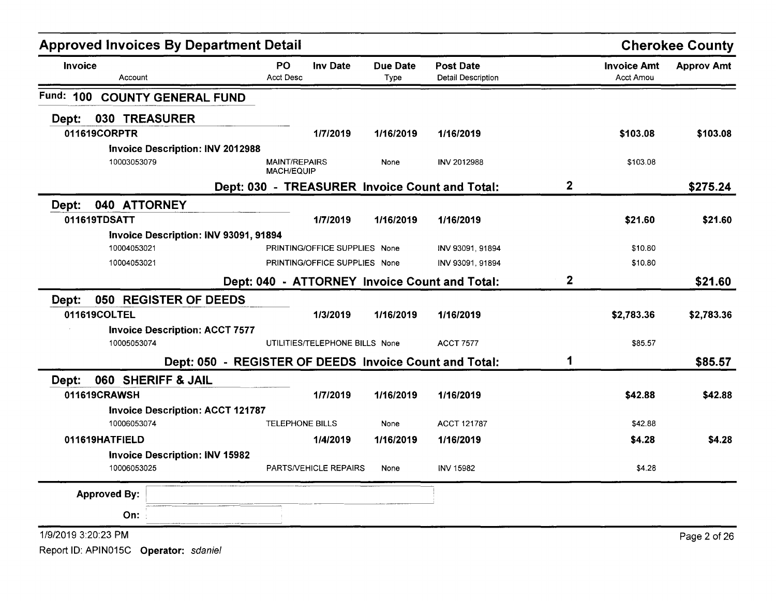| <b>Approved Invoices By Department Detail</b> |                                                        |                                |                                               |              |                                        | <b>Cherokee County</b> |
|-----------------------------------------------|--------------------------------------------------------|--------------------------------|-----------------------------------------------|--------------|----------------------------------------|------------------------|
| Invoice<br>Account                            | <b>Inv Date</b><br>PO.<br><b>Acct Desc</b>             | <b>Due Date</b><br>Type        | <b>Post Date</b><br><b>Detail Description</b> |              | <b>Invoice Amt</b><br><b>Acct Amou</b> | <b>Approv Amt</b>      |
| Fund: 100<br><b>COUNTY GENERAL FUND</b>       |                                                        |                                |                                               |              |                                        |                        |
| 030 TREASURER<br>Dept:                        |                                                        |                                |                                               |              |                                        |                        |
| 011619CORPTR                                  | 1/7/2019                                               | 1/16/2019                      | 1/16/2019                                     |              | \$103.08                               | \$103.08               |
| Invoice Description: INV 2012988              |                                                        |                                |                                               |              |                                        |                        |
| 10003053079                                   | <b>MAINT/REPAIRS</b><br><b>MACH/EQUIP</b>              | None                           | <b>INV 2012988</b>                            |              | \$103.08                               |                        |
|                                               | Dept: 030 - TREASURER Invoice Count and Total:         |                                |                                               | $\mathbf{2}$ |                                        | \$275.24               |
| 040 ATTORNEY<br>Dept:                         |                                                        |                                |                                               |              |                                        |                        |
| 011619TDSATT                                  | 1/7/2019                                               | 1/16/2019                      | 1/16/2019                                     |              | \$21.60                                | \$21.60                |
| Invoice Description: INV 93091, 91894         |                                                        |                                |                                               |              |                                        |                        |
| 10004053021                                   |                                                        | PRINTING/OFFICE SUPPLIES None  | INV 93091, 91894                              |              | \$10.80                                |                        |
| 10004053021                                   |                                                        | PRINTING/OFFICE SUPPLIES None  | INV 93091, 91894                              |              | \$10.80                                |                        |
|                                               | Dept: 040 - ATTORNEY Invoice Count and Total:          |                                |                                               | $\mathbf 2$  |                                        | \$21.60                |
| 050 REGISTER OF DEEDS<br>Dept:                |                                                        |                                |                                               |              |                                        |                        |
| 011619COLTEL                                  | 1/3/2019                                               | 1/16/2019                      | 1/16/2019                                     |              | \$2,783.36                             | \$2,783.36             |
| <b>Invoice Description: ACCT 7577</b>         |                                                        |                                |                                               |              |                                        |                        |
| 10005053074                                   |                                                        | UTILITIES/TELEPHONE BILLS None | <b>ACCT 7577</b>                              |              | \$85.57                                |                        |
|                                               | Dept: 050 - REGISTER OF DEEDS Invoice Count and Total: |                                |                                               | 1            |                                        | \$85.57                |
| 060 SHERIFF & JAIL<br>Dept:                   |                                                        |                                |                                               |              |                                        |                        |
| 011619CRAWSH                                  | 1/7/2019                                               | 1/16/2019                      | 1/16/2019                                     |              | \$42.88                                | \$42.88                |
| <b>Invoice Description: ACCT 121787</b>       |                                                        |                                |                                               |              |                                        |                        |
| 10006053074                                   | <b>TELEPHONE BILLS</b>                                 | None                           | ACCT 121787                                   |              | \$42.88                                |                        |
| 011619HATFIELD                                | 1/4/2019                                               | 1/16/2019                      | 1/16/2019                                     |              | \$4.28                                 | \$4.28                 |
| <b>Invoice Description: INV 15982</b>         |                                                        |                                |                                               |              |                                        |                        |
| 10006053025                                   | PARTS/VEHICLE REPAIRS                                  | None                           | <b>INV 15982</b>                              |              | \$4.28                                 |                        |
| <b>Approved By:</b>                           |                                                        |                                |                                               |              |                                        |                        |
| On:                                           |                                                        |                                |                                               |              |                                        |                        |
| 1/9/2019 3:20:23 PM                           |                                                        |                                |                                               |              |                                        | Page 2 of 26           |
| Report ID: APIN015C Operator: sdaniel         |                                                        |                                |                                               |              |                                        |                        |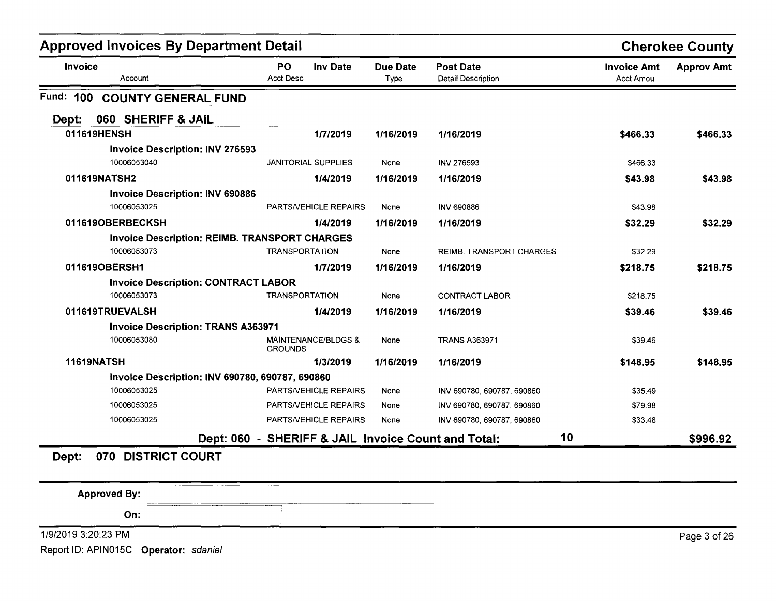| <b>Approved Invoices By Department Detail</b>        |                                                     |                         |                                               |                                        | <b>Cherokee County</b> |
|------------------------------------------------------|-----------------------------------------------------|-------------------------|-----------------------------------------------|----------------------------------------|------------------------|
| <b>Invoice</b><br>Account                            | <b>PO</b><br>Inv Date<br><b>Acct Desc</b>           | <b>Due Date</b><br>Type | <b>Post Date</b><br><b>Detail Description</b> | <b>Invoice Amt</b><br><b>Acct Amou</b> | <b>Approv Amt</b>      |
| Fund:<br>100<br><b>COUNTY GENERAL FUND</b>           |                                                     |                         |                                               |                                        |                        |
| 060 SHERIFF & JAIL<br>Dept:                          |                                                     |                         |                                               |                                        |                        |
| 011619HENSH                                          | 1/7/2019                                            | 1/16/2019               | 1/16/2019                                     | \$466.33                               | \$466.33               |
| <b>Invoice Description: INV 276593</b>               |                                                     |                         |                                               |                                        |                        |
| 10006053040                                          | <b>JANITORIAL SUPPLIES</b>                          | None                    | <b>INV 276593</b>                             | \$466.33                               |                        |
| 011619NATSH2                                         | 1/4/2019                                            | 1/16/2019               | 1/16/2019                                     | \$43.98                                | \$43.98                |
| <b>Invoice Description: INV 690886</b>               |                                                     |                         |                                               |                                        |                        |
| 10006053025                                          | PARTS/VEHICLE REPAIRS                               | None                    | <b>INV 690886</b>                             | \$43.98                                |                        |
| 011619OBERBECKSH                                     | 1/4/2019                                            | 1/16/2019               | 1/16/2019                                     | \$32.29                                | \$32.29                |
| <b>Invoice Description: REIMB. TRANSPORT CHARGES</b> |                                                     |                         |                                               |                                        |                        |
| 10006053073                                          | <b>TRANSPORTATION</b>                               | None                    | REIMB. TRANSPORT CHARGES                      | \$32.29                                |                        |
| 011619OBERSH1                                        | 1/7/2019                                            | 1/16/2019               | 1/16/2019                                     | \$218.75                               | \$218.75               |
| <b>Invoice Description: CONTRACT LABOR</b>           |                                                     |                         |                                               |                                        |                        |
| 10006053073                                          | <b>TRANSPORTATION</b>                               | None                    | <b>CONTRACT LABOR</b>                         | \$218.75                               |                        |
| 011619TRUEVALSH                                      | 1/4/2019                                            | 1/16/2019               | 1/16/2019                                     | \$39.46                                | \$39.46                |
| <b>Invoice Description: TRANS A363971</b>            |                                                     |                         |                                               |                                        |                        |
| 10006053080                                          | <b>MAINTENANCE/BLDGS &amp;</b><br><b>GROUNDS</b>    | None                    | <b>TRANS A363971</b>                          | \$39.46                                |                        |
| <b>11619NATSH</b>                                    | 1/3/2019                                            | 1/16/2019               | 1/16/2019                                     | \$148.95                               | \$148.95               |
| Invoice Description: INV 690780, 690787, 690860      |                                                     |                         |                                               |                                        |                        |
| 10006053025                                          | PARTS/VEHICLE REPAIRS                               | None                    | INV 690780, 690787, 690860                    | \$35.49                                |                        |
| 10006053025                                          | PARTS/VEHICLE REPAIRS                               | None                    | INV 690780, 690787, 690860                    | \$79.98                                |                        |
| 10006053025                                          | PARTS/VEHICLE REPAIRS                               | None                    | INV 690780, 690787, 690860                    | \$33.48                                |                        |
|                                                      | Dept: 060 - SHERIFF & JAIL Invoice Count and Total: |                         | 10                                            |                                        | \$996.92               |

| <b>Approved By:</b>                   | --------      |              |
|---------------------------------------|---------------|--------------|
| On:                                   | $-$<br>______ |              |
| 1/9/2019 3:20:23 PM                   |               | Page 3 of 26 |
| Report ID: APIN015C Operator: sdaniel |               |              |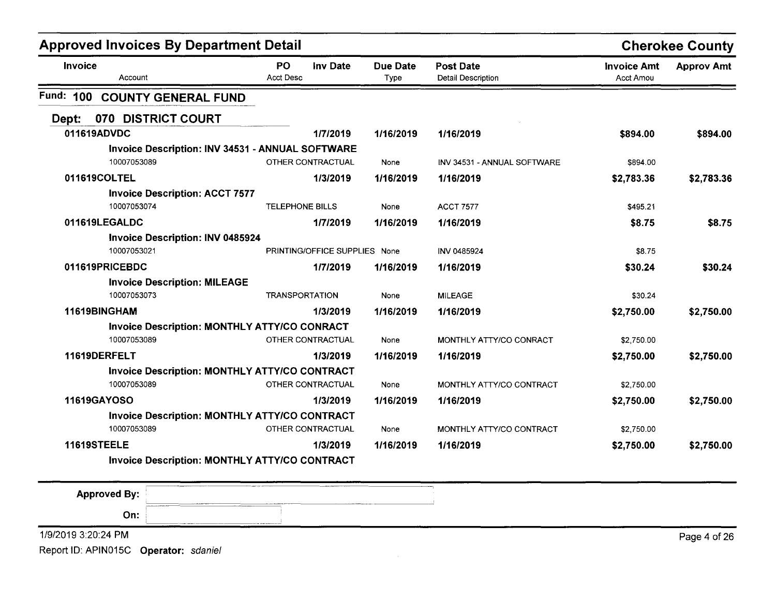| <b>Approved Invoices By Department Detail</b>        |                                           |                         |                                               |                                 | <b>Cherokee County</b> |
|------------------------------------------------------|-------------------------------------------|-------------------------|-----------------------------------------------|---------------------------------|------------------------|
| Invoice<br>Account                                   | <b>Inv Date</b><br>PO<br><b>Acct Desc</b> | <b>Due Date</b><br>Type | <b>Post Date</b><br><b>Detail Description</b> | <b>Invoice Amt</b><br>Acct Amou | <b>Approv Amt</b>      |
| Fund: 100<br><b>COUNTY GENERAL FUND</b>              |                                           |                         |                                               |                                 |                        |
| 070 DISTRICT COURT<br>Dept:                          |                                           |                         |                                               |                                 |                        |
| 011619ADVDC                                          | 1/7/2019                                  | 1/16/2019               | 1/16/2019                                     | \$894.00                        | \$894.00               |
| Invoice Description: INV 34531 - ANNUAL SOFTWARE     |                                           |                         |                                               |                                 |                        |
| 10007053089                                          | OTHER CONTRACTUAL                         | None                    | INV 34531 - ANNUAL SOFTWARE                   | \$894.00                        |                        |
| 011619COLTEL                                         | 1/3/2019                                  | 1/16/2019               | 1/16/2019                                     | \$2,783.36                      | \$2,783.36             |
| <b>Invoice Description: ACCT 7577</b>                |                                           |                         |                                               |                                 |                        |
| 10007053074                                          | TELEPHONE BILLS                           | None                    | <b>ACCT 7577</b>                              | \$495.21                        |                        |
| 011619LEGALDC                                        | 1/7/2019                                  | 1/16/2019               | 1/16/2019                                     | \$8.75                          | \$8.75                 |
| <b>Invoice Description: INV 0485924</b>              |                                           |                         |                                               |                                 |                        |
| 10007053021                                          | PRINTING/OFFICE SUPPLIES None             |                         | INV 0485924                                   | \$8.75                          |                        |
| 011619PRICEBDC                                       | 1/7/2019                                  | 1/16/2019               | 1/16/2019                                     | \$30.24                         | \$30.24                |
| <b>Invoice Description: MILEAGE</b>                  |                                           |                         |                                               |                                 |                        |
| 10007053073                                          | <b>TRANSPORTATION</b>                     | None                    | <b>MILEAGE</b>                                | \$30.24                         |                        |
| 11619BINGHAM                                         | 1/3/2019                                  | 1/16/2019               | 1/16/2019                                     | \$2,750.00                      | \$2,750.00             |
| <b>Invoice Description: MONTHLY ATTY/CO CONRACT</b>  |                                           |                         |                                               |                                 |                        |
| 10007053089                                          | OTHER CONTRACTUAL                         | None                    | MONTHLY ATTY/CO CONRACT                       | \$2,750.00                      |                        |
| 11619DERFELT                                         | 1/3/2019                                  | 1/16/2019               | 1/16/2019                                     | \$2,750.00                      | \$2,750.00             |
| Invoice Description: MONTHLY ATTY/CO CONTRACT        |                                           |                         |                                               |                                 |                        |
| 10007053089                                          | OTHER CONTRACTUAL                         | None                    | MONTHLY ATTY/CO CONTRACT                      | \$2,750.00                      |                        |
| 11619GAYOSO                                          | 1/3/2019                                  | 1/16/2019               | 1/16/2019                                     | \$2,750.00                      | \$2,750.00             |
| <b>Invoice Description: MONTHLY ATTY/CO CONTRACT</b> |                                           |                         |                                               |                                 |                        |
| 10007053089                                          | OTHER CONTRACTUAL                         | None                    | MONTHLY ATTY/CO CONTRACT                      | \$2,750.00                      |                        |
| 11619STEELE                                          | 1/3/2019                                  | 1/16/2019               | 1/16/2019                                     | \$2,750.00                      | \$2,750.00             |
| <b>Invoice Description: MONTHLY ATTY/CO CONTRACT</b> |                                           |                         |                                               |                                 |                        |

| <b>Approved By:</b>                                                                                                                                                                                                                                                                      | The company of the company of<br>______<br><b>COMMAND STRUCTURES IN THE WORLD</b><br>---<br>the color of the second was a program to the<br><b>AAA KAARTA JALLE SUULUU LUULUU</b> |              |
|------------------------------------------------------------------------------------------------------------------------------------------------------------------------------------------------------------------------------------------------------------------------------------------|-----------------------------------------------------------------------------------------------------------------------------------------------------------------------------------|--------------|
| On:                                                                                                                                                                                                                                                                                      | <b><i><u>ALLEN ATACTES COMMUNISTICS</u></i></b>                                                                                                                                   |              |
| 1/9/2019 3:20:24 PM                                                                                                                                                                                                                                                                      |                                                                                                                                                                                   | Page 4 of 26 |
| $D_{\text{total}}$ in Anistoten, $A = \{x_1, x_2, y_3, z_4, z_5, z_6, z_7, z_8, z_9, z_1, z_2, z_6, z_7, z_8, z_9, z_1, z_2, z_6, z_7, z_8, z_9, z_1, z_2, z_6, z_7, z_8, z_9, z_9, z_1, z_2, z_4, z_6, z_7, z_8, z_9, z_9, z_1, z_2, z_4, z_6, z_9, z_9, z_1, z_2, z_4, z_6, z_9, z_9,$ |                                                                                                                                                                                   |              |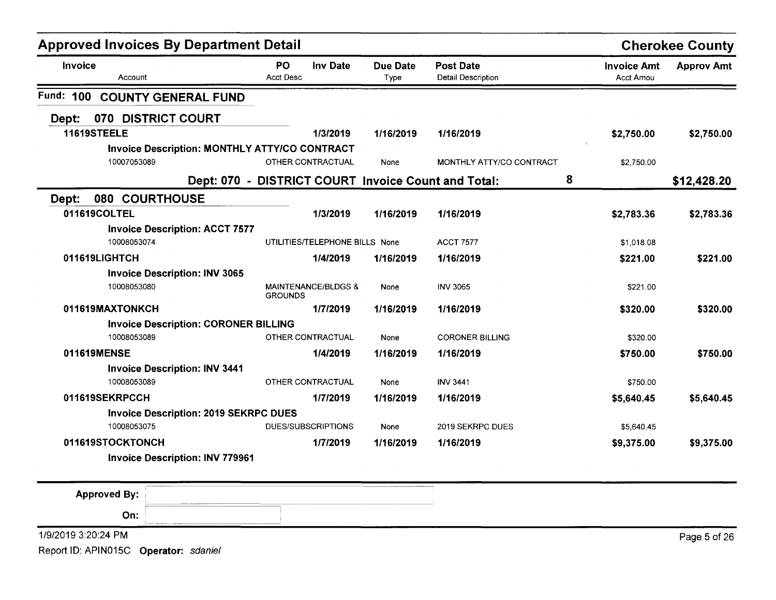| Invoice<br>Account<br>Fund: 100<br>Dept:<br>11619STEELE<br>10007053089 | <b>COUNTY GENERAL FUND</b><br>070 DISTRICT COURT | PO<br><b>Inv Date</b><br><b>Acct Desc</b><br>1/3/2019<br><b>Invoice Description: MONTHLY ATTY/CO CONTRACT</b><br>OTHER CONTRACTUAL | <b>Due Date</b><br>Type<br>1/16/2019 | <b>Post Date</b><br>Detail Description<br>1/16/2019 | <b>Invoice Amt</b><br><b>Acct Amou</b><br>\$2,750.00 | <b>Approv Amt</b><br>\$2,750.00 |
|------------------------------------------------------------------------|--------------------------------------------------|------------------------------------------------------------------------------------------------------------------------------------|--------------------------------------|-----------------------------------------------------|------------------------------------------------------|---------------------------------|
|                                                                        |                                                  |                                                                                                                                    |                                      |                                                     |                                                      |                                 |
|                                                                        |                                                  |                                                                                                                                    |                                      |                                                     |                                                      |                                 |
|                                                                        |                                                  |                                                                                                                                    |                                      |                                                     |                                                      |                                 |
|                                                                        |                                                  |                                                                                                                                    |                                      |                                                     |                                                      |                                 |
|                                                                        |                                                  |                                                                                                                                    |                                      |                                                     |                                                      |                                 |
|                                                                        |                                                  |                                                                                                                                    | None                                 | MONTHLY ATTY/CO CONTRACT                            | \$2,750.00                                           |                                 |
|                                                                        |                                                  | Dept: 070 - DISTRICT COURT Invoice Count and Total:                                                                                |                                      | 8                                                   |                                                      | \$12,428.20                     |
| Dept:                                                                  | 080 COURTHOUSE                                   |                                                                                                                                    |                                      |                                                     |                                                      |                                 |
| 011619COLTEL                                                           |                                                  | 1/3/2019                                                                                                                           | 1/16/2019                            | 1/16/2019                                           | \$2,783.36                                           | \$2,783.36                      |
|                                                                        | <b>Invoice Description: ACCT 7577</b>            |                                                                                                                                    |                                      |                                                     |                                                      |                                 |
| 10008053074                                                            |                                                  | UTILITIES/TELEPHONE BILLS None                                                                                                     |                                      | <b>ACCT 7577</b>                                    | \$1,018.08                                           |                                 |
| 011619LIGHTCH                                                          |                                                  | 1/4/2019                                                                                                                           | 1/16/2019                            | 1/16/2019                                           | \$221.00                                             | \$221.00                        |
|                                                                        | <b>Invoice Description: INV 3065</b>             |                                                                                                                                    |                                      |                                                     |                                                      |                                 |
| 10008053080                                                            |                                                  | <b>MAINTENANCE/BLDGS &amp;</b><br><b>GROUNDS</b>                                                                                   | None                                 | <b>INV 3065</b>                                     | \$221.00                                             |                                 |
| 011619MAXTONKCH                                                        |                                                  | 1/7/2019                                                                                                                           | 1/16/2019                            | 1/16/2019                                           | \$320.00                                             | \$320.00                        |
|                                                                        | <b>Invoice Description: CORONER BILLING</b>      |                                                                                                                                    |                                      |                                                     |                                                      |                                 |
| 10008053089                                                            |                                                  | OTHER CONTRACTUAL                                                                                                                  | None                                 | <b>CORONER BILLING</b>                              | \$320.00                                             |                                 |
| 011619MENSE                                                            |                                                  | 1/4/2019                                                                                                                           | 1/16/2019                            | 1/16/2019                                           | \$750.00                                             | \$750.00                        |
|                                                                        | <b>Invoice Description: INV 3441</b>             |                                                                                                                                    |                                      |                                                     |                                                      |                                 |
| 10008053089                                                            |                                                  | OTHER CONTRACTUAL                                                                                                                  | None                                 | <b>INV 3441</b>                                     | \$750.00                                             |                                 |
| 011619SEKRPCCH                                                         |                                                  | 1/7/2019                                                                                                                           | 1/16/2019                            | 1/16/2019                                           | \$5,640.45                                           | \$5,640.45                      |
|                                                                        | <b>Invoice Description: 2019 SEKRPC DUES</b>     |                                                                                                                                    |                                      |                                                     |                                                      |                                 |
| 10008053075                                                            |                                                  | DUES/SUBSCRIPTIONS                                                                                                                 | None                                 | 2019 SEKRPC DUES                                    | \$5,640.45                                           |                                 |
| 011619STOCKTONCH                                                       |                                                  | 1/7/2019                                                                                                                           | 1/16/2019                            | 1/16/2019                                           | \$9,375.00                                           | \$9,375.00                      |
|                                                                        | <b>Invoice Description: INV 779961</b>           |                                                                                                                                    |                                      |                                                     |                                                      |                                 |

1/9/20193:20:24 PM Page 5 of26

Report 10: APIN015C Operator: sdaniel

On: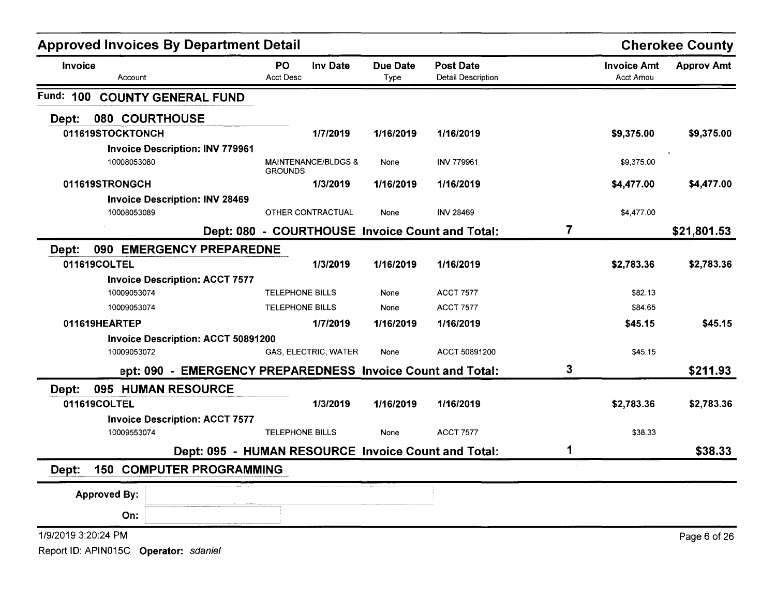| <b>Approved Invoices By Department Detail</b>              |                               |                      |                  |                                                     |   |                                 | <b>Cherokee County</b> |
|------------------------------------------------------------|-------------------------------|----------------------|------------------|-----------------------------------------------------|---|---------------------------------|------------------------|
| <b>Invoice</b><br>Account                                  | <b>PO</b><br><b>Acct Desc</b> | <b>Inv Date</b>      | Due Date<br>Type | <b>Post Date</b><br><b>Detail Description</b>       |   | <b>Invoice Amt</b><br>Acct Amou | <b>Approv Amt</b>      |
| Fund: 100<br><b>COUNTY GENERAL FUND</b>                    |                               |                      |                  |                                                     |   |                                 |                        |
| 080 COURTHOUSE<br>Dept:                                    |                               |                      |                  |                                                     |   |                                 |                        |
| 011619STOCKTONCH                                           |                               | 1/7/2019             | 1/16/2019        | 1/16/2019                                           |   | \$9,375.00                      | \$9,375.00             |
| <b>Invoice Description: INV 779961</b>                     |                               |                      |                  |                                                     |   |                                 |                        |
| 10008053080                                                | <b>GROUNDS</b>                | MAINTENANCE/BLDGS &  | None             | <b>INV 779961</b>                                   |   | \$9,375.00                      |                        |
| 011619STRONGCH                                             |                               | 1/3/2019             | 1/16/2019        | 1/16/2019                                           |   | \$4,477.00                      | \$4,477.00             |
| <b>Invoice Description: INV 28469</b><br>10008053089       | OTHER CONTRACTUAL             |                      | None             | <b>INV 28469</b>                                    |   | \$4,477.00                      |                        |
|                                                            |                               |                      |                  | Dept: 080 - COURTHOUSE Invoice Count and Total:     | 7 |                                 | \$21,801.53            |
| 090 EMERGENCY PREPAREDNE<br>Dept:                          |                               |                      |                  |                                                     |   |                                 |                        |
| 011619COLTEL                                               |                               | 1/3/2019             | 1/16/2019        | 1/16/2019                                           |   | \$2,783.36                      | \$2,783.36             |
| <b>Invoice Description: ACCT 7577</b>                      |                               |                      |                  |                                                     |   |                                 |                        |
| 10009053074                                                | <b>TELEPHONE BILLS</b>        |                      | None             | <b>ACCT 7577</b>                                    |   | \$82.13                         |                        |
| 10009053074                                                | <b>TELEPHONE BILLS</b>        |                      | None             | <b>ACCT 7577</b>                                    |   | \$84.65                         |                        |
| 011619HEARTEP                                              |                               | 1/7/2019             | 1/16/2019        | 1/16/2019                                           |   | \$45.15                         | \$45.15                |
| <b>Invoice Description: ACCT 50891200</b>                  |                               |                      |                  |                                                     |   |                                 |                        |
| 10009053072                                                |                               | GAS, ELECTRIC, WATER | None             | ACCT 50891200                                       |   | \$45.15                         |                        |
| ept: 090 - EMERGENCY PREPAREDNESS Invoice Count and Total: |                               |                      |                  |                                                     | 3 |                                 | \$211.93               |
| 095 HUMAN RESOURCE<br>Dept:                                |                               |                      |                  |                                                     |   |                                 |                        |
| 011619COLTEL                                               |                               | 1/3/2019             | 1/16/2019        | 1/16/2019                                           |   | \$2,783.36                      | \$2,783.36             |
| <b>Invoice Description: ACCT 7577</b>                      |                               |                      |                  |                                                     |   |                                 |                        |
| 10009553074                                                | <b>TELEPHONE BILLS</b>        |                      | None             | <b>ACCT 7577</b>                                    |   | \$38.33                         |                        |
|                                                            |                               |                      |                  | Dept: 095 - HUMAN RESOURCE Invoice Count and Total: | 1 |                                 | \$38.33                |
| <b>150 COMPUTER PROGRAMMING</b><br>Dept:                   |                               |                      |                  |                                                     |   |                                 |                        |
| <b>Approved By:</b>                                        |                               |                      |                  |                                                     |   |                                 |                        |
| On:                                                        |                               |                      |                  |                                                     |   |                                 |                        |
| 1/9/2019 3:20:24 PM                                        |                               |                      |                  |                                                     |   |                                 | Page 6 of 26           |
| Report ID: APIN015C Operator: sdaniel                      |                               |                      |                  |                                                     |   |                                 |                        |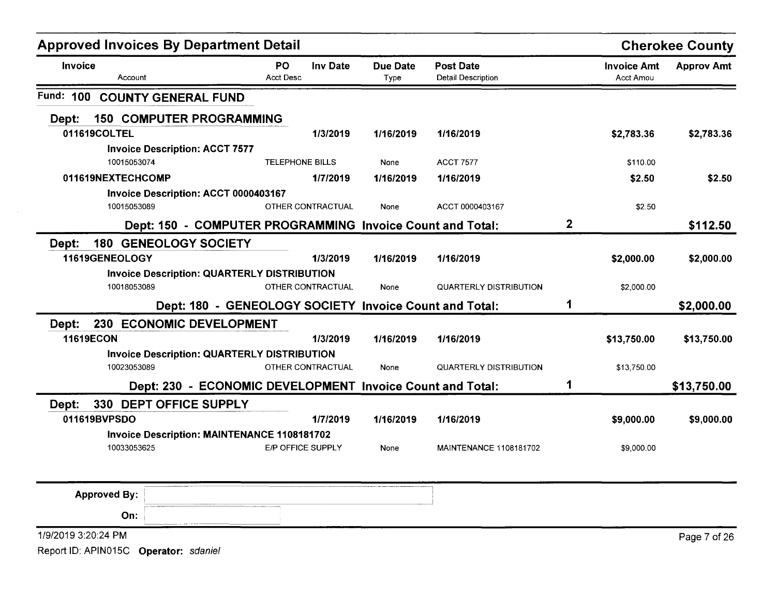| <b>Approved Invoices By Department Detail</b> |                                                           |                        |                   |                         |                                               |             |                                        | <b>Cherokee County</b> |
|-----------------------------------------------|-----------------------------------------------------------|------------------------|-------------------|-------------------------|-----------------------------------------------|-------------|----------------------------------------|------------------------|
| Invoice<br>Account                            |                                                           | PO<br><b>Acct Desc</b> | <b>Inv Date</b>   | <b>Due Date</b><br>Type | <b>Post Date</b><br><b>Detail Description</b> |             | <b>Invoice Amt</b><br><b>Acct Amou</b> | <b>Approv Amt</b>      |
| Fund: 100 COUNTY GENERAL FUND                 |                                                           |                        |                   |                         |                                               |             |                                        |                        |
| Dept:                                         | <b>150 COMPUTER PROGRAMMING</b>                           |                        |                   |                         |                                               |             |                                        |                        |
| 011619COLTEL                                  |                                                           |                        | 1/3/2019          | 1/16/2019               | 1/16/2019                                     |             | \$2,783.36                             | \$2,783.36             |
|                                               | <b>Invoice Description: ACCT 7577</b>                     |                        |                   |                         |                                               |             |                                        |                        |
| 10015053074                                   |                                                           | <b>TELEPHONE BILLS</b> |                   | None                    | <b>ACCT 7577</b>                              |             | \$110.00                               |                        |
| 011619NEXTECHCOMP                             |                                                           |                        | 1/7/2019          | 1/16/2019               | 1/16/2019                                     |             | \$2.50                                 | \$2.50                 |
|                                               | Invoice Description: ACCT 0000403167                      |                        |                   |                         |                                               |             |                                        |                        |
| 10015053089                                   |                                                           |                        | OTHER CONTRACTUAL | None                    | ACCT 0000403167                               |             | \$2.50                                 |                        |
|                                               | Dept: 150 - COMPUTER PROGRAMMING Invoice Count and Total: |                        |                   |                         |                                               | $\mathbf 2$ |                                        | \$112.50               |
| Dept:                                         | <b>180 GENEOLOGY SOCIETY</b>                              |                        |                   |                         |                                               |             |                                        |                        |
| 11619GENEOLOGY                                |                                                           |                        | 1/3/2019          | 1/16/2019               | 1/16/2019                                     |             | \$2,000.00                             | \$2,000.00             |
|                                               | <b>Invoice Description: QUARTERLY DISTRIBUTION</b>        |                        |                   |                         |                                               |             |                                        |                        |
| 10018053089                                   |                                                           |                        | OTHER CONTRACTUAL | None                    | <b>QUARTERLY DISTRIBUTION</b>                 |             | \$2,000.00                             |                        |
|                                               | Dept: 180 - GENEOLOGY SOCIETY Invoice Count and Total:    |                        |                   |                         |                                               | 1           |                                        | \$2,000.00             |
| Dept:                                         | 230 ECONOMIC DEVELOPMENT                                  |                        |                   |                         |                                               |             |                                        |                        |
| <b>11619ECON</b>                              |                                                           |                        | 1/3/2019          | 1/16/2019               | 1/16/2019                                     |             | \$13,750.00                            | \$13,750.00            |
|                                               | <b>Invoice Description: QUARTERLY DISTRIBUTION</b>        |                        |                   |                         |                                               |             |                                        |                        |
| 10023053089                                   |                                                           |                        | OTHER CONTRACTUAL | None                    | <b>QUARTERLY DISTRIBUTION</b>                 |             | \$13,750.00                            |                        |
|                                               | Dept: 230 - ECONOMIC DEVELOPMENT Invoice Count and Total: |                        |                   |                         |                                               | 1           |                                        | \$13,750.00            |
| Dept:                                         | 330 DEPT OFFICE SUPPLY                                    |                        |                   |                         |                                               |             |                                        |                        |
| 011619BVPSDO                                  |                                                           |                        | 1/7/2019          | 1/16/2019               | 1/16/2019                                     |             | \$9,000.00                             | \$9,000.00             |
|                                               | Invoice Description: MAINTENANCE 1108181702               |                        |                   |                         |                                               |             |                                        |                        |
| 10033053625                                   |                                                           | E/P OFFICE SUPPLY      |                   | None                    | MAINTENANCE 1108181702                        |             | \$9,000.00                             |                        |
|                                               |                                                           |                        |                   |                         |                                               |             |                                        |                        |
| <b>Approved By:</b>                           |                                                           |                        |                   |                         |                                               |             |                                        |                        |
| On:                                           |                                                           |                        |                   |                         |                                               |             |                                        |                        |
| 1/9/2019 3:20:24 PM                           |                                                           |                        |                   |                         |                                               |             |                                        | Page 7 of 26           |
|                                               |                                                           |                        |                   |                         |                                               |             |                                        |                        |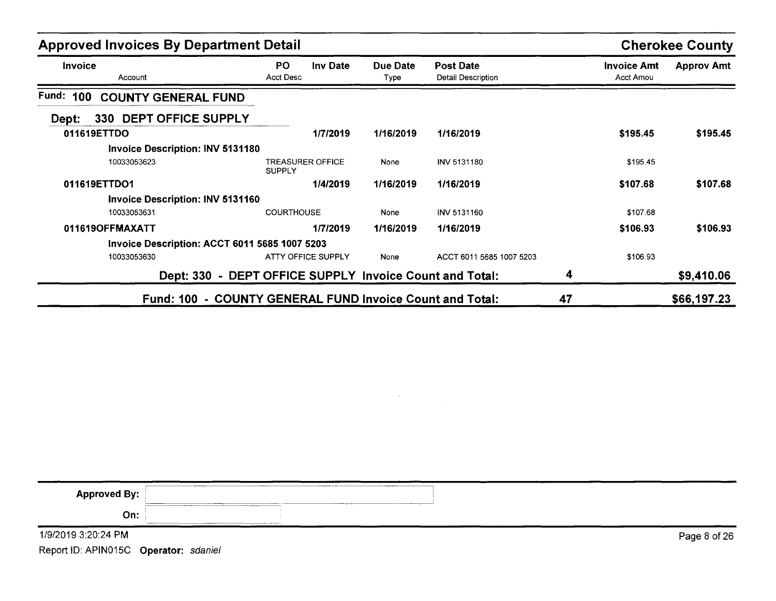| <b>Approved Invoices By Department Detail</b>            |                                                         |                  |                                               |    |                                 | <b>Cherokee County</b> |
|----------------------------------------------------------|---------------------------------------------------------|------------------|-----------------------------------------------|----|---------------------------------|------------------------|
| Invoice<br>Account                                       | PO.<br><b>Inv Date</b><br><b>Acct Desc</b>              | Due Date<br>Type | <b>Post Date</b><br><b>Detail Description</b> |    | <b>Invoice Amt</b><br>Acct Amou | <b>Approv Amt</b>      |
| Fund: 100<br><b>COUNTY GENERAL FUND</b>                  |                                                         |                  |                                               |    |                                 |                        |
| 330 DEPT OFFICE SUPPLY<br>Dept:                          |                                                         |                  |                                               |    |                                 |                        |
| 011619ETTDO                                              | 1/7/2019                                                | 1/16/2019        | 1/16/2019                                     |    | \$195.45                        | \$195.45               |
| <b>Invoice Description: INV 5131180</b>                  |                                                         |                  |                                               |    |                                 |                        |
| 10033053623                                              | <b>TREASURER OFFICE</b><br><b>SUPPLY</b>                | None             | <b>INV 5131180</b>                            |    | \$195.45                        |                        |
| 011619ETTDO1                                             | 1/4/2019                                                | 1/16/2019        | 1/16/2019                                     |    | \$107.68                        | \$107.68               |
| <b>Invoice Description: INV 5131160</b>                  |                                                         |                  |                                               |    |                                 |                        |
| 10033053631                                              | <b>COURTHOUSE</b>                                       | None             | INV 5131160                                   |    | \$107.68                        |                        |
| 011619OFFMAXATT                                          | 1/7/2019                                                | 1/16/2019        | 1/16/2019                                     |    | \$106.93                        | \$106.93               |
| <b>Invoice Description: ACCT 6011 5685 1007 5203</b>     |                                                         |                  |                                               |    |                                 |                        |
| 10033053630                                              | <b>ATTY OFFICE SUPPLY</b>                               | None             | ACCT 6011 5685 1007 5203                      |    | \$106.93                        |                        |
|                                                          | Dept: 330 - DEPT OFFICE SUPPLY Invoice Count and Total: |                  |                                               | 4  |                                 | \$9,410.06             |
| Fund: 100 - COUNTY GENERAL FUND Invoice Count and Total: |                                                         |                  |                                               | 47 |                                 | \$66,197.23            |

| <b>Approved By:</b> | ______<br>_______                                                                                                                                                                                                                                                                                                                                                                                                                                                                                  |              |
|---------------------|----------------------------------------------------------------------------------------------------------------------------------------------------------------------------------------------------------------------------------------------------------------------------------------------------------------------------------------------------------------------------------------------------------------------------------------------------------------------------------------------------|--------------|
| On:                 | ________<br>$\begin{array}{cccccccccccccc} \multicolumn{3}{c}{} & \multicolumn{3}{c}{} & \multicolumn{3}{c}{} & \multicolumn{3}{c}{} & \multicolumn{3}{c}{} & \multicolumn{3}{c}{} & \multicolumn{3}{c}{} & \multicolumn{3}{c}{} & \multicolumn{3}{c}{} & \multicolumn{3}{c}{} & \multicolumn{3}{c}{} & \multicolumn{3}{c}{} & \multicolumn{3}{c}{} & \multicolumn{3}{c}{} & \multicolumn{3}{c}{} & \multicolumn{3}{c}{} & \multicolumn{3}{c}{} & \multicolumn{3}{c}{} & \multicolumn{3}{c}{} & \$ |              |
| 1/9/2019 3:20:24 PM |                                                                                                                                                                                                                                                                                                                                                                                                                                                                                                    | Page 8 of 26 |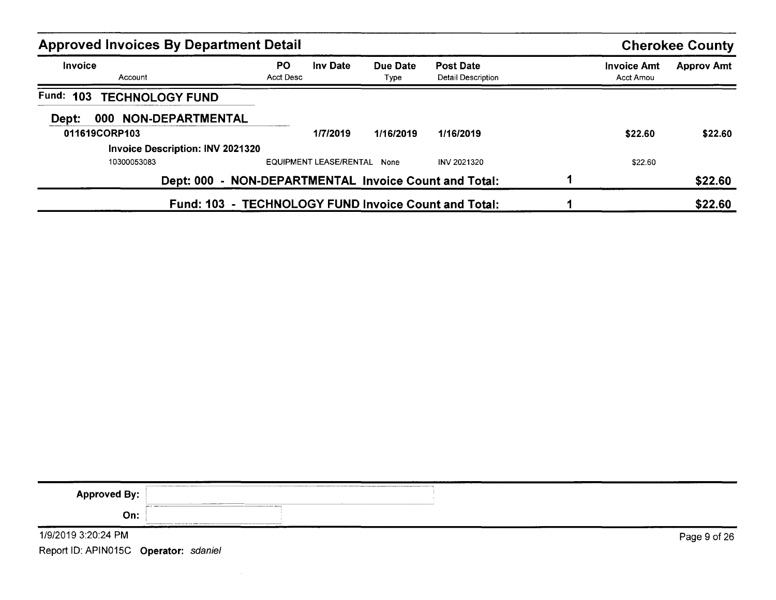| <b>Approved Invoices By Department Detail</b>        |                 |                        |                  |                                             |                                        | <b>Cherokee County</b> |
|------------------------------------------------------|-----------------|------------------------|------------------|---------------------------------------------|----------------------------------------|------------------------|
| <b>Invoice</b><br>Account                            | PO<br>Acct Desc | <b>Inv Date</b>        | Due Date<br>Type | <b>Post Date</b><br>Detail Description      | <b>Invoice Amt</b><br><b>Acct Amou</b> | <b>Approv Amt</b>      |
| Fund: 103<br><b>TECHNOLOGY FUND</b>                  |                 |                        |                  |                                             |                                        |                        |
| 000 NON-DEPARTMENTAL<br>Dept:                        |                 |                        |                  |                                             |                                        |                        |
| 011619CORP103                                        |                 | 1/7/2019               | 1/16/2019        | 1/16/2019                                   | \$22.60                                | \$22.60                |
| <b>Invoice Description: INV 2021320</b>              |                 |                        |                  |                                             |                                        |                        |
| 10300053083                                          |                 | EQUIPMENT LEASE/RENTAL | None             | <b>INV 2021320</b>                          | \$22.60                                |                        |
| <b>Dept: 000</b>                                     |                 |                        |                  | - NON-DEPARTMENTAL Invoice Count and Total: |                                        | \$22.60                |
| Fund: 103 - TECHNOLOGY FUND Invoice Count and Total: |                 |                        |                  |                                             |                                        | \$22.60                |

| <b>Approved By:</b>                   |       |              |
|---------------------------------------|-------|--------------|
| On:                                   | _____ |              |
| 1/9/2019 3:20:24 PM                   |       | Page 9 of 26 |
| Report ID: APIN015C Operator: sdaniel |       |              |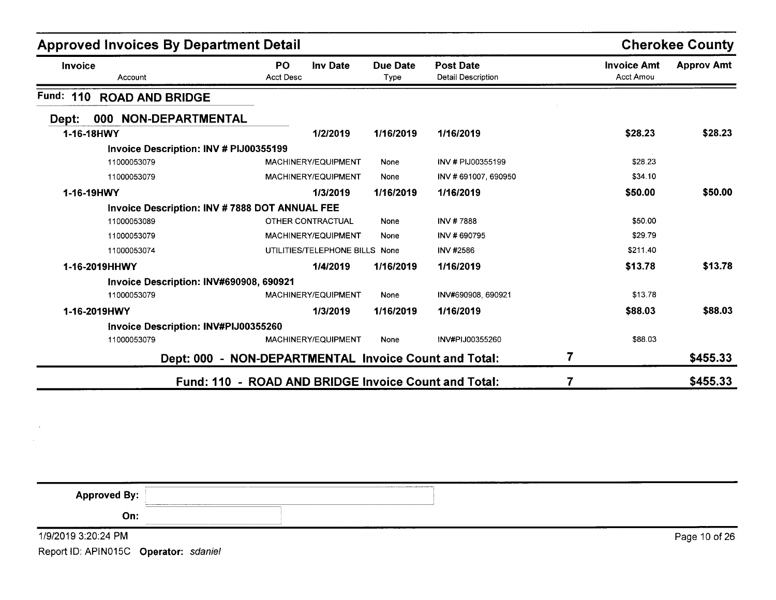| <b>Approved Invoices By Department Detail</b>         |                               |                                |                  |                                               |                                        | <b>Cherokee County</b> |
|-------------------------------------------------------|-------------------------------|--------------------------------|------------------|-----------------------------------------------|----------------------------------------|------------------------|
| Invoice<br>Account                                    | <b>PO</b><br><b>Acct Desc</b> | <b>Inv Date</b>                | Due Date<br>Type | <b>Post Date</b><br><b>Detail Description</b> | <b>Invoice Amt</b><br><b>Acct Amou</b> | <b>Approv Amt</b>      |
| Fund:<br>110<br><b>ROAD AND BRIDGE</b>                |                               |                                |                  |                                               |                                        |                        |
| NON-DEPARTMENTAL<br>000<br>Dept:                      |                               |                                |                  |                                               |                                        |                        |
| 1-16-18HWY                                            |                               | 1/2/2019                       | 1/16/2019        | 1/16/2019                                     | \$28.23                                | \$28.23                |
| Invoice Description: INV # PIJ00355199                |                               |                                |                  |                                               |                                        |                        |
| 11000053079                                           |                               | MACHINERY/EQUIPMENT            | None             | INV # PIJ00355199                             | \$28.23                                |                        |
| 11000053079                                           |                               | MACHINERY/EQUIPMENT            | None             | INV #691007, 690950                           | \$34.10                                |                        |
| 1-16-19HWY                                            |                               | 1/3/2019                       | 1/16/2019        | 1/16/2019                                     | \$50.00                                | \$50.00                |
| Invoice Description: INV #7888 DOT ANNUAL FEE         |                               |                                |                  |                                               |                                        |                        |
| 11000053089                                           |                               | <b>OTHER CONTRACTUAL</b>       | None             | INV #7888                                     | \$50.00                                |                        |
| 11000053079                                           |                               | MACHINERY/EQUIPMENT            | None             | INV #690795                                   | \$29.79                                |                        |
| 11000053074                                           |                               | UTILITIES/TELEPHONE BILLS None |                  | <b>INV #2586</b>                              | \$211.40                               |                        |
| 1-16-2019HHWY                                         |                               | 1/4/2019                       | 1/16/2019        | 1/16/2019                                     | \$13.78                                | \$13.78                |
| Invoice Description: INV#690908, 690921               |                               |                                |                  |                                               |                                        |                        |
| 11000053079                                           |                               | MACHINERY/EQUIPMENT            | None             | INV#690908, 690921                            | \$13.78                                |                        |
| 1-16-2019HWY                                          |                               | 1/3/2019                       | 1/16/2019        | 1/16/2019                                     | \$88.03                                | \$88.03                |
| Invoice Description: INV#PIJ00355260                  |                               |                                |                  |                                               |                                        |                        |
| 11000053079                                           |                               | MACHINERY/EQUIPMENT            | None             | INV#PIJ00355260                               | \$88.03                                |                        |
| Dept: 000 - NON-DEPARTMENTAL Invoice Count and Total: |                               |                                |                  |                                               | 7                                      | \$455.33               |
| Fund: 110 - ROAD AND BRIDGE Invoice Count and Total:  |                               |                                |                  |                                               |                                        | \$455.33               |

| <b>Approved By:</b> | <b>The Company's Company's Company's Company's Company's Company's Company's Company's Company's Company's Company's Company's Company's Company's Company's Company's Company's Company's Company's Company's Company's Company</b> |               |
|---------------------|--------------------------------------------------------------------------------------------------------------------------------------------------------------------------------------------------------------------------------------|---------------|
| On:                 |                                                                                                                                                                                                                                      |               |
| 1/9/2019 3:20:24 PM |                                                                                                                                                                                                                                      | Page 10 of 26 |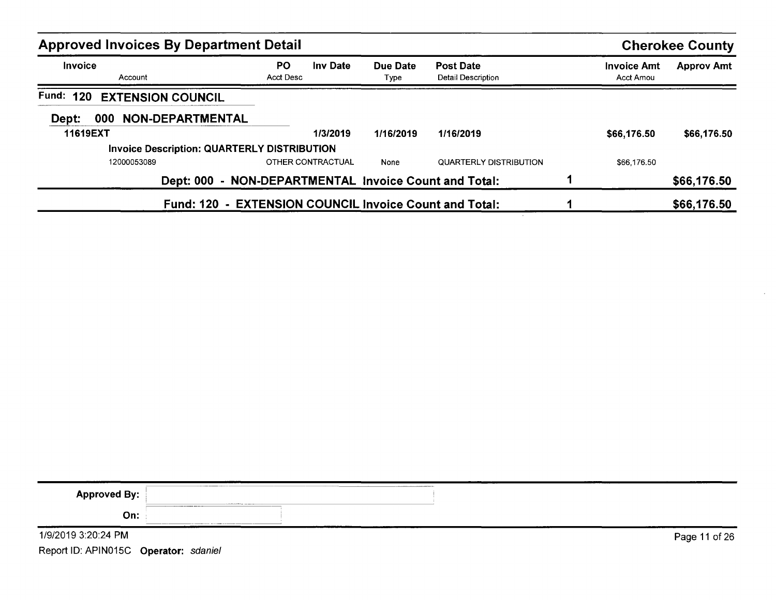| <b>Approved Invoices By Department Detail</b> |                                                        |                  |                                        |                                 | <b>Cherokee County</b> |
|-----------------------------------------------|--------------------------------------------------------|------------------|----------------------------------------|---------------------------------|------------------------|
| <b>Invoice</b><br>Account                     | <b>PO</b><br><b>Inv Date</b><br>Acct Desc              | Due Date<br>Type | <b>Post Date</b><br>Detail Description | <b>Invoice Amt</b><br>Acct Amou | <b>Approv Amt</b>      |
| Fund:<br>120<br><b>EXTENSION COUNCIL</b>      |                                                        |                  |                                        |                                 |                        |
| NON-DEPARTMENTAL<br>Dept:<br>000              |                                                        |                  |                                        |                                 |                        |
| 11619EXT                                      | 1/3/2019                                               | 1/16/2019        | 1/16/2019                              | \$66,176.50                     | \$66,176.50            |
|                                               | <b>Invoice Description: QUARTERLY DISTRIBUTION</b>     |                  |                                        |                                 |                        |
| 12000053089                                   | OTHER CONTRACTUAL                                      | None             | QUARTERLY DISTRIBUTION                 | \$66,176.50                     |                        |
| <b>Dept: 000</b>                              | - NON-DEPARTMENTAL Invoice Count and Total:            |                  |                                        |                                 | \$66,176.50            |
|                                               | Fund: 120 - EXTENSION COUNCIL Invoice Count and Total: |                  |                                        |                                 | \$66,176.50            |

| <b>Approved By:</b> | <b>CONTRACTOR CONTRACTOR</b>                   |               |
|---------------------|------------------------------------------------|---------------|
| On:                 | <b>Advised Municipal Services Construction</b> |               |
| 1/9/2019 3:20:24 PM |                                                | Page 11 of 26 |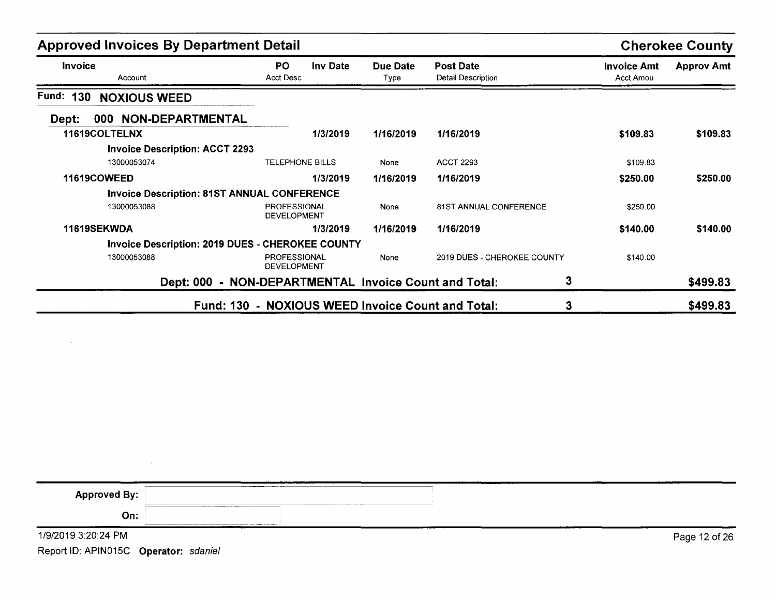| <b>Approved Invoices By Department Detail</b>      |                                                         |                  |                                               |                                        | <b>Cherokee County</b> |
|----------------------------------------------------|---------------------------------------------------------|------------------|-----------------------------------------------|----------------------------------------|------------------------|
| <b>Invoice</b><br>Account                          | PO.<br>Inv Date<br><b>Acct Desc</b>                     | Due Date<br>Type | <b>Post Date</b><br><b>Detail Description</b> | <b>Invoice Amt</b><br><b>Acct Amou</b> | <b>Approv Amt</b>      |
| <b>Fund: 130</b><br><b>NOXIOUS WEED</b>            |                                                         |                  |                                               |                                        |                        |
| 000 NON-DEPARTMENTAL<br>Dept:                      |                                                         |                  |                                               |                                        |                        |
| 11619COLTELNX                                      | 1/3/2019                                                | 1/16/2019        | 1/16/2019                                     | \$109.83                               | \$109.83               |
| <b>Invoice Description: ACCT 2293</b>              |                                                         |                  |                                               |                                        |                        |
| 13000053074                                        | <b>TELEPHONE BILLS</b>                                  | None             | <b>ACCT 2293</b>                              | \$109.83                               |                        |
| <b>11619COWEED</b>                                 | 1/3/2019                                                | 1/16/2019        | 1/16/2019                                     | \$250.00                               | \$250.00               |
| <b>Invoice Description: 81ST ANNUAL CONFERENCE</b> |                                                         |                  |                                               |                                        |                        |
| 13000053088                                        | PROFESSIONAL<br><b>DEVELOPMENT</b>                      | None             | <b>81ST ANNUAL CONFERENCE</b>                 | \$250.00                               |                        |
| 11619SEKWDA                                        | 1/3/2019                                                | 1/16/2019        | 1/16/2019                                     | \$140.00                               | \$140.00               |
|                                                    | <b>Invoice Description: 2019 DUES - CHEROKEE COUNTY</b> |                  |                                               |                                        |                        |
| 13000053088                                        | <b>PROFESSIONAL</b><br><b>DEVELOPMENT</b>               | None             | 2019 DUES - CHEROKEE COUNTY                   | \$140.00                               |                        |
|                                                    | Dept: 000 - NON-DEPARTMENTAL Invoice Count and Total:   |                  | 3                                             |                                        | \$499.83               |
|                                                    | Fund: 130 - NOXIOUS WEED Invoice Count and Total:       |                  | 3                                             |                                        | \$499.83               |

| <b>Approved By:</b>                   |                                                   |               |
|---------------------------------------|---------------------------------------------------|---------------|
| On:                                   | continuously contained between the print state of |               |
| 1/9/2019 3:20:24 PM                   |                                                   | Page 12 of 26 |
| Report ID: APIN015C Operator: sdaniel |                                                   |               |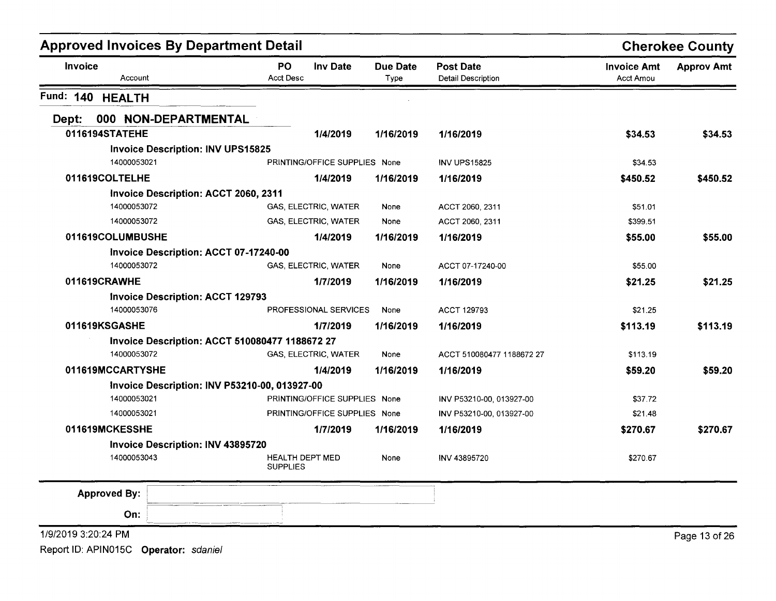|                            | <b>Approved Invoices By Department Detail</b>         |                               |                         |                                        |                                        | <b>Cherokee County</b> |
|----------------------------|-------------------------------------------------------|-------------------------------|-------------------------|----------------------------------------|----------------------------------------|------------------------|
| <b>Invoice</b><br>Account  | <b>PO</b><br><b>Acct Desc</b>                         | Inv Date                      | <b>Due Date</b><br>Type | <b>Post Date</b><br>Detail Description | <b>Invoice Amt</b><br><b>Acct Amou</b> | <b>Approv Amt</b>      |
| Fund: 140<br><b>HEALTH</b> |                                                       |                               |                         |                                        |                                        |                        |
| Dept:                      | 000 NON-DEPARTMENTAL                                  |                               |                         |                                        |                                        |                        |
| 0116194STATEHE             |                                                       | 1/4/2019                      | 1/16/2019               | 1/16/2019                              | \$34.53                                | \$34.53                |
|                            | <b>Invoice Description: INV UPS15825</b>              |                               |                         |                                        |                                        |                        |
| 14000053021                |                                                       | PRINTING/OFFICE SUPPLIES None |                         | <b>INV UPS15825</b>                    | \$34.53                                |                        |
| 011619COLTELHE             |                                                       | 1/4/2019                      | 1/16/2019               | 1/16/2019                              | \$450.52                               | \$450.52               |
|                            | Invoice Description: ACCT 2060, 2311                  |                               |                         |                                        |                                        |                        |
| 14000053072                |                                                       | GAS, ELECTRIC, WATER          | None                    | ACCT 2060, 2311                        | \$51.01                                |                        |
| 14000053072                |                                                       | GAS, ELECTRIC, WATER          | None                    | ACCT 2060, 2311                        | \$399.51                               |                        |
| 011619COLUMBUSHE           |                                                       | 1/4/2019                      | 1/16/2019               | 1/16/2019                              | \$55.00                                | \$55.00                |
|                            | Invoice Description: ACCT 07-17240-00                 |                               |                         |                                        |                                        |                        |
| 14000053072                |                                                       | GAS, ELECTRIC, WATER          | None                    | ACCT 07-17240-00                       | \$55.00                                |                        |
| 011619CRAWHE               |                                                       | 1/7/2019                      | 1/16/2019               | 1/16/2019                              | \$21.25                                | \$21.25                |
|                            | <b>Invoice Description: ACCT 129793</b>               |                               |                         |                                        |                                        |                        |
| 14000053076                |                                                       | PROFESSIONAL SERVICES         | None                    | <b>ACCT 129793</b>                     | \$21.25                                |                        |
| 011619KSGASHE              |                                                       | 1/7/2019                      | 1/16/2019               | 1/16/2019                              | \$113.19                               | \$113.19               |
|                            | <b>Invoice Description: ACCT 510080477 1188672 27</b> |                               |                         |                                        |                                        |                        |
| 14000053072                |                                                       | GAS, ELECTRIC, WATER          | None                    | ACCT 510080477 1188672 27              | \$113.19                               |                        |
| 011619MCCARTYSHE           |                                                       | 1/4/2019                      | 1/16/2019               | 1/16/2019                              | \$59.20                                | \$59.20                |
|                            | Invoice Description: INV P53210-00, 013927-00         |                               |                         |                                        |                                        |                        |
| 14000053021                |                                                       | PRINTING/OFFICE SUPPLIES None |                         | INV P53210-00, 013927-00               | \$37.72                                |                        |
| 14000053021                |                                                       | PRINTING/OFFICE SUPPLIES None |                         | INV P53210-00, 013927-00               | \$21.48                                |                        |
| 011619MCKESSHE             |                                                       | 1/7/2019                      | 1/16/2019               | 1/16/2019                              | \$270.67                               | \$270.67               |
|                            | Invoice Description: INV 43895720                     |                               |                         |                                        |                                        |                        |
| 14000053043                | <b>SUPPLIES</b>                                       | <b>HEALTH DEPT MED</b>        | None                    | INV 43895720                           | \$270.67                               |                        |
| <b>Approved By:</b>        |                                                       |                               |                         |                                        |                                        |                        |
| On:                        |                                                       |                               |                         |                                        |                                        |                        |
| 1/9/2019 3:20:24 PM        |                                                       |                               |                         |                                        |                                        | Page 13 of 26          |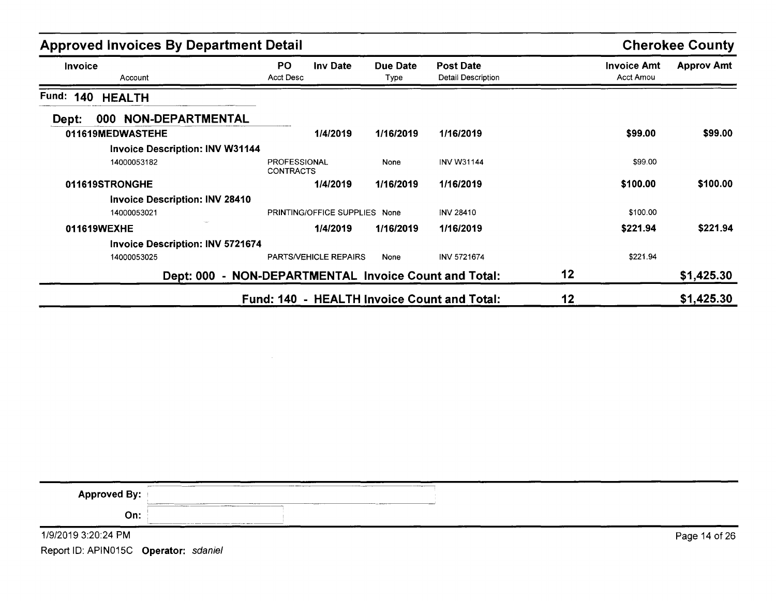| <b>Approved Invoices By Department Detail</b>         |                                         |                              |                  | <b>Cherokee County</b>                      |    |                                 |                   |
|-------------------------------------------------------|-----------------------------------------|------------------------------|------------------|---------------------------------------------|----|---------------------------------|-------------------|
| <b>Invoice</b><br>Account                             | PO.<br>Acct Desc                        | Inv Date                     | Due Date<br>Type | <b>Post Date</b><br>Detail Description      |    | <b>Invoice Amt</b><br>Acct Amou | <b>Approv Amt</b> |
| Fund:<br>140<br><b>HEALTH</b>                         |                                         |                              |                  |                                             |    |                                 |                   |
| <b>NON-DEPARTMENTAL</b><br>000<br>Dept:               |                                         |                              |                  |                                             |    |                                 |                   |
| 011619MEDWASTEHE                                      |                                         | 1/4/2019                     | 1/16/2019        | 1/16/2019                                   |    | \$99.00                         | \$99.00           |
| <b>Invoice Description: INV W31144</b>                |                                         |                              |                  |                                             |    |                                 |                   |
| 14000053182                                           | <b>PROFESSIONAL</b><br><b>CONTRACTS</b> |                              | None             | <b>INV W31144</b>                           |    | \$99.00                         |                   |
| 011619STRONGHE                                        |                                         | 1/4/2019                     | 1/16/2019        | 1/16/2019                                   |    | \$100.00                        | \$100.00          |
| <b>Invoice Description: INV 28410</b>                 |                                         |                              |                  |                                             |    |                                 |                   |
| 14000053021                                           |                                         | PRINTING/OFFICE SUPPLIES     | None             | <b>INV 28410</b>                            |    | \$100.00                        |                   |
| 011619WEXHE                                           |                                         | 1/4/2019                     | 1/16/2019        | 1/16/2019                                   |    | \$221.94                        | \$221.94          |
| <b>Invoice Description: INV 5721674</b>               |                                         |                              |                  |                                             |    |                                 |                   |
| 14000053025                                           |                                         | <b>PARTS/VEHICLE REPAIRS</b> | None             | <b>INV 5721674</b>                          |    | \$221.94                        |                   |
| Dept: 000 - NON-DEPARTMENTAL Invoice Count and Total: |                                         |                              |                  |                                             | 12 |                                 | \$1,425.30        |
|                                                       |                                         |                              |                  | Fund: 140 - HEALTH Invoice Count and Total: | 12 |                                 | \$1,425.30        |

| <b>Approved By:</b> | $-$<br>$\frac{1}{2} \left( \frac{1}{2} \left( \frac{1}{2} \left( \frac{1}{2} \left( \frac{1}{2} \left( \frac{1}{2} \left( \frac{1}{2} \left( \frac{1}{2} \left( \frac{1}{2} \left( \frac{1}{2} \right) \right) - \frac{1}{2} \left( \frac{1}{2} \left( \frac{1}{2} \left( \frac{1}{2} \right) \right) - \frac{1}{2} \left( \frac{1}{2} \left( \frac{1}{2} \left( \frac{1}{2} \right) \right) - \frac{1}{2} \left( \frac{1}{2} \left( \frac{1}{2} \$<br>_______<br>---------------<br>----<br><b><i>PARKER</i></b><br>$- -$ |
|---------------------|----------------------------------------------------------------------------------------------------------------------------------------------------------------------------------------------------------------------------------------------------------------------------------------------------------------------------------------------------------------------------------------------------------------------------------------------------------------------------------------------------------------------------|
| On:                 | the company's control and<br>--------                                                                                                                                                                                                                                                                                                                                                                                                                                                                                      |
| 1/9/2019 3:20:24 PM | Page 14 of 26                                                                                                                                                                                                                                                                                                                                                                                                                                                                                                              |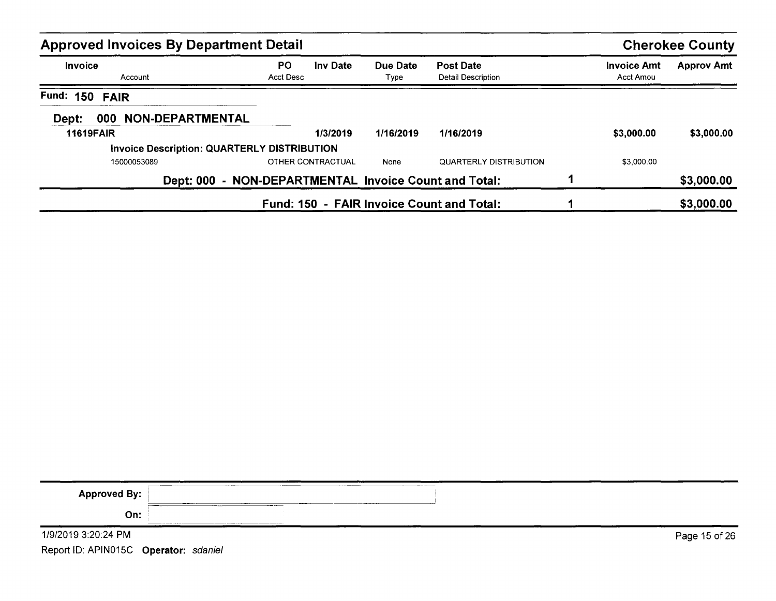| <b>Approved Invoices By Department Detail</b> |                                                       |                  |                                        |                                 | <b>Cherokee County</b> |
|-----------------------------------------------|-------------------------------------------------------|------------------|----------------------------------------|---------------------------------|------------------------|
| Invoice<br>Account                            | <b>PO</b><br><b>Inv Date</b><br>Acct Desc             | Due Date<br>Type | <b>Post Date</b><br>Detail Description | <b>Invoice Amt</b><br>Acct Amou | <b>Approv Amt</b>      |
| Fund: 150 FAIR                                |                                                       |                  |                                        |                                 |                        |
| <b>NON-DEPARTMENTAL</b><br>000<br>Dept:       |                                                       |                  |                                        |                                 |                        |
| <b>11619FAIR</b>                              | 1/3/2019                                              | 1/16/2019        | 1/16/2019                              | \$3,000.00                      | \$3,000.00             |
|                                               | Invoice Description: QUARTERLY DISTRIBUTION           |                  |                                        |                                 |                        |
| 15000053089                                   | OTHER CONTRACTUAL                                     | None             | QUARTERLY DISTRIBUTION                 | \$3,000.00                      |                        |
|                                               | Dept: 000 - NON-DEPARTMENTAL Invoice Count and Total: |                  |                                        |                                 | \$3,000.00             |
|                                               | Fund: 150 - FAIR Invoice Count and Total:             |                  |                                        |                                 | \$3,000.00             |

| <b>Approved By:</b>                   | ________________<br><b><i><u>ANTIQUE STATION COMPANY</u></i></b>                                                                                                                                                                                     |               |
|---------------------------------------|------------------------------------------------------------------------------------------------------------------------------------------------------------------------------------------------------------------------------------------------------|---------------|
| On:                                   | ----<br>____<br><b>Contract Contract Contract Contract Contract Contract Contract Contract Contract Contract Contract Contract Contract Contract Contract Contract Contract Contract Contract Contract Contract Contract Contract Contract Contr</b> |               |
| 1/9/2019 3:20:24 PM                   |                                                                                                                                                                                                                                                      | Page 15 of 26 |
| Report ID: APIN015C Operator: sdaniel |                                                                                                                                                                                                                                                      |               |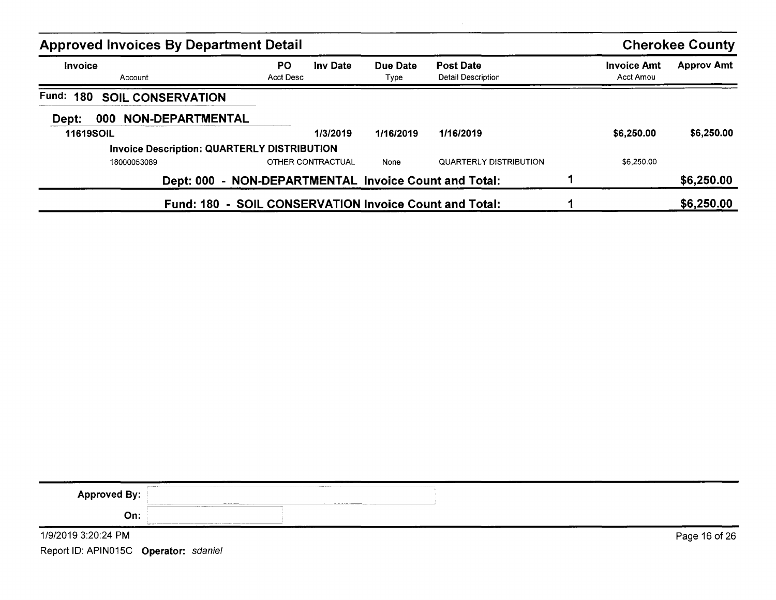| <b>Approved Invoices By Department Detail</b>      |                                                        |                  |                                               |                                 | <b>Cherokee County</b> |
|----------------------------------------------------|--------------------------------------------------------|------------------|-----------------------------------------------|---------------------------------|------------------------|
| <b>Invoice</b><br>Account                          | <b>PO</b><br><b>Inv Date</b><br>Acct Desc              | Due Date<br>Type | <b>Post Date</b><br><b>Detail Description</b> | <b>Invoice Amt</b><br>Acct Amou | <b>Approv Amt</b>      |
| <b>Fund: 180</b><br><b>SOIL CONSERVATION</b>       |                                                        |                  |                                               |                                 |                        |
| <b>NON-DEPARTMENTAL</b><br>Dept:<br>000            |                                                        |                  |                                               |                                 |                        |
| <b>11619SOIL</b>                                   | 1/3/2019                                               | 1/16/2019        | 1/16/2019                                     | \$6,250.00                      | \$6,250.00             |
| <b>Invoice Description: QUARTERLY DISTRIBUTION</b> |                                                        |                  |                                               |                                 |                        |
| 18000053089                                        | OTHER CONTRACTUAL                                      | None             | <b>QUARTERLY DISTRIBUTION</b>                 | \$6,250.00                      |                        |
|                                                    | Dept: 000 - NON-DEPARTMENTAL Invoice Count and Total:  |                  |                                               |                                 | \$6,250.00             |
|                                                    | Fund: 180 - SOIL CONSERVATION Invoice Count and Total: |                  |                                               |                                 | \$6,250.00             |

| <b>Approved By:</b> | ----------                           |               |
|---------------------|--------------------------------------|---------------|
| On:                 | <b><i><u>PARADOR COMPANY</u></i></b> |               |
| 1/9/2019 3:20:24 PM |                                      | Page 16 of 26 |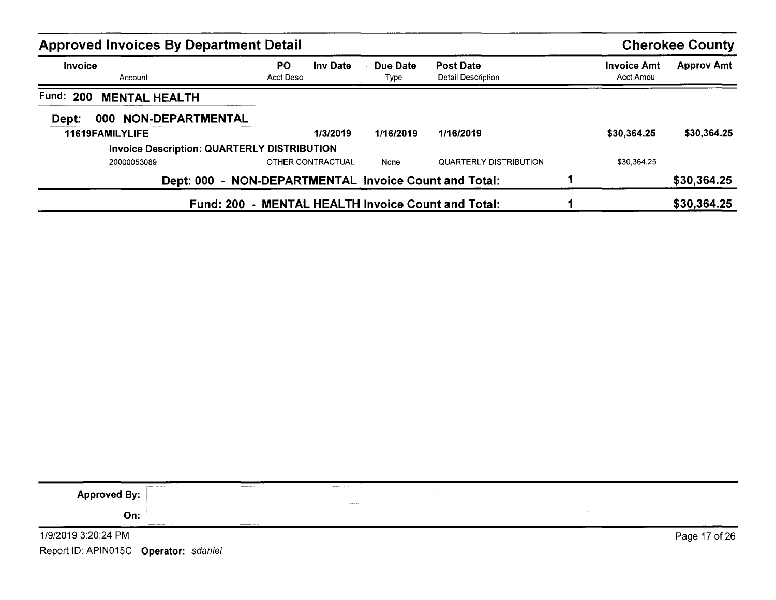| <b>Approved Invoices By Department Detail</b>      |                                                       |                  |                                        |                                 | <b>Cherokee County</b> |
|----------------------------------------------------|-------------------------------------------------------|------------------|----------------------------------------|---------------------------------|------------------------|
| <b>Invoice</b><br>Account                          | PO<br>Inv Date<br>Acct Desc                           | Due Date<br>Type | <b>Post Date</b><br>Detail Description | <b>Invoice Amt</b><br>Acct Amou | <b>Approv Amt</b>      |
| Fund: 200<br><b>MENTAL HEALTH</b>                  |                                                       |                  |                                        |                                 |                        |
| NON-DEPARTMENTAL<br>Dept:<br>000                   |                                                       |                  |                                        |                                 |                        |
| 11619FAMILYLIFE                                    | 1/3/2019                                              | 1/16/2019        | 1/16/2019                              | \$30,364.25                     | \$30,364.25            |
| <b>Invoice Description: QUARTERLY DISTRIBUTION</b> |                                                       |                  |                                        |                                 |                        |
| 20000053089                                        | OTHER CONTRACTUAL                                     | None             | <b>QUARTERLY DISTRIBUTION</b>          | \$30,364.25                     |                        |
|                                                    | Dept: 000 - NON-DEPARTMENTAL Invoice Count and Total: |                  |                                        |                                 | \$30,364.25            |
|                                                    | Fund: 200 - MENTAL HEALTH Invoice Count and Total:    |                  |                                        |                                 | \$30,364.25            |

| <b>Approved By:</b> | <b>CONTRACTOR INTERNATIONAL CONTRACTOR</b><br><b>Second Holland and Second Second Second Second Second Second Second Second Second Second Second Second Second Second Second Second Second Second Second Second Second Second Second Second Second Second Second Second Second</b><br>______ |               |
|---------------------|----------------------------------------------------------------------------------------------------------------------------------------------------------------------------------------------------------------------------------------------------------------------------------------------|---------------|
| On:                 | __________________<br><b>CONTINUES AND COMPANY CONTINUES OF THE CONTINUES.</b>                                                                                                                                                                                                               |               |
| 1/9/2019 3:20:24 PM |                                                                                                                                                                                                                                                                                              | Page 17 of 26 |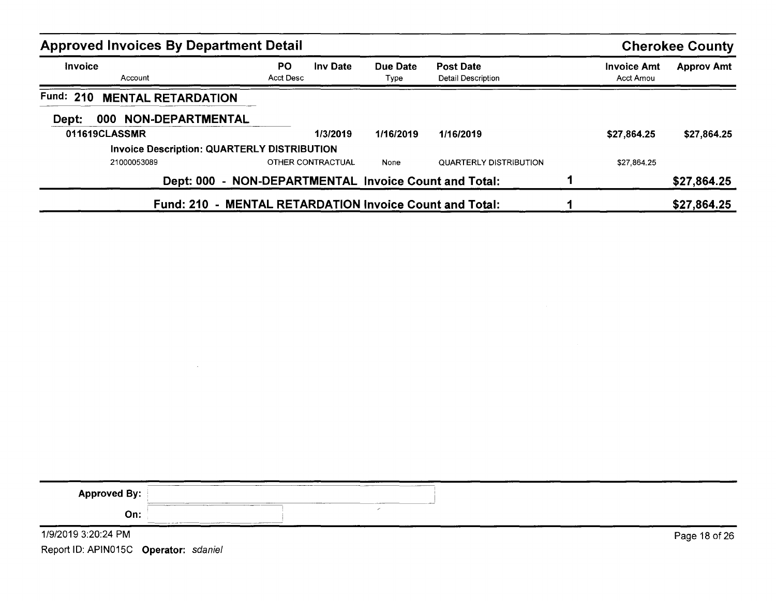| <b>Approved Invoices By Department Detail</b>      |                                                         |                  |                                               |                                 | <b>Cherokee County</b> |
|----------------------------------------------------|---------------------------------------------------------|------------------|-----------------------------------------------|---------------------------------|------------------------|
| Invoice<br>Account                                 | <b>PO</b><br><b>Inv Date</b><br>Acct Desc               | Due Date<br>Type | <b>Post Date</b><br><b>Detail Description</b> | <b>Invoice Amt</b><br>Acct Amou | <b>Approv Amt</b>      |
| <b>MENTAL RETARDATION</b><br><b>Fund: 210</b>      |                                                         |                  |                                               |                                 |                        |
| 000 NON-DEPARTMENTAL<br>Dept:                      |                                                         |                  |                                               |                                 |                        |
| 011619CLASSMR                                      | 1/3/2019                                                | 1/16/2019        | 1/16/2019                                     | \$27.864.25                     | \$27,864.25            |
| <b>Invoice Description: QUARTERLY DISTRIBUTION</b> |                                                         |                  |                                               |                                 |                        |
| 21000053089                                        | <b>OTHER CONTRACTUAL</b>                                | None             | QUARTERLY DISTRIBUTION                        | \$27,864.25                     |                        |
|                                                    | Dept: 000 - NON-DEPARTMENTAL Invoice Count and Total:   |                  |                                               |                                 | \$27,864.25            |
|                                                    | Fund: 210 - MENTAL RETARDATION Invoice Count and Total: |                  |                                               |                                 | \$27,864.25            |

| <b>Approved By:</b> | _______<br>-----<br>----<br><b>And Address and Company</b><br>------<br><b>CAN BE AN INCOME.</b>    |               |
|---------------------|-----------------------------------------------------------------------------------------------------|---------------|
| On:                 | $      -$<br><u> 1980 - Andrea Andrea Maria (h. 1980).</u><br>1900 - Andrea Andrea Maria (h. 1980). |               |
| 1/9/2019 3:20:24 PM |                                                                                                     | Page 18 of 26 |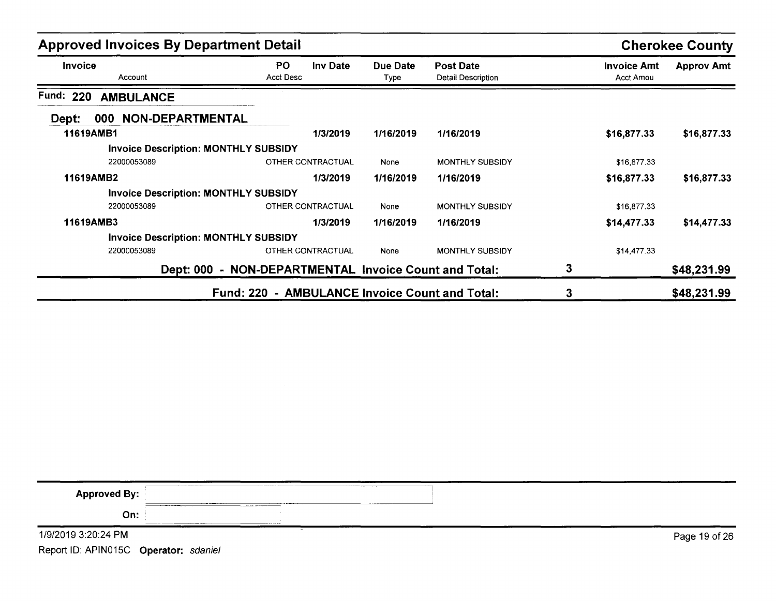| <b>Approved Invoices By Department Detail</b> |                                                          |                  |                                        |                                        | <b>Cherokee County</b> |
|-----------------------------------------------|----------------------------------------------------------|------------------|----------------------------------------|----------------------------------------|------------------------|
| <b>Invoice</b><br>Account                     | <b>PO</b><br><b>Inv Date</b><br><b>Acct Desc</b>         | Due Date<br>Type | <b>Post Date</b><br>Detail Description | <b>Invoice Amt</b><br><b>Acct Amou</b> | <b>Approv Amt</b>      |
| Fund:<br>220<br><b>AMBULANCE</b>              |                                                          |                  |                                        |                                        |                        |
| NON-DEPARTMENTAL<br>000<br>Dept:              |                                                          |                  |                                        |                                        |                        |
| 11619AMB1                                     | 1/3/2019                                                 | 1/16/2019        | 1/16/2019                              | \$16,877.33                            | \$16,877.33            |
| <b>Invoice Description: MONTHLY SUBSIDY</b>   |                                                          |                  |                                        |                                        |                        |
| 22000053089                                   | OTHER CONTRACTUAL                                        | None             | <b>MONTHLY SUBSIDY</b>                 | \$16,877.33                            |                        |
| 11619AMB2                                     | 1/3/2019                                                 | 1/16/2019        | 1/16/2019                              | \$16,877.33                            | \$16,877.33            |
| <b>Invoice Description: MONTHLY SUBSIDY</b>   |                                                          |                  |                                        |                                        |                        |
| 22000053089                                   | <b>OTHER CONTRACTUAL</b>                                 | None             | <b>MONTHLY SUBSIDY</b>                 | \$16,877.33                            |                        |
| 11619AMB3                                     | 1/3/2019                                                 | 1/16/2019        | 1/16/2019                              | \$14,477.33                            | \$14,477.33            |
| <b>Invoice Description: MONTHLY SUBSIDY</b>   |                                                          |                  |                                        |                                        |                        |
| 22000053089                                   | OTHER CONTRACTUAL                                        | None             | <b>MONTHLY SUBSIDY</b>                 | \$14,477.33                            |                        |
| <b>Dept: 000</b>                              | - NON-DEPARTMENTAL Invoice Count and Total:              |                  |                                        | 3                                      | \$48,231.99            |
|                                               | - AMBULANCE Invoice Count and Total:<br><b>Fund: 220</b> |                  |                                        | 3                                      | \$48,231.99            |

| -----------<br><b>Approved By:</b>    |               |
|---------------------------------------|---------------|
| On:<br>the age of the state           |               |
| 1/9/2019 3:20:24 PM                   | Page 19 of 26 |
| Report ID: APIN015C Operator: sdaniel |               |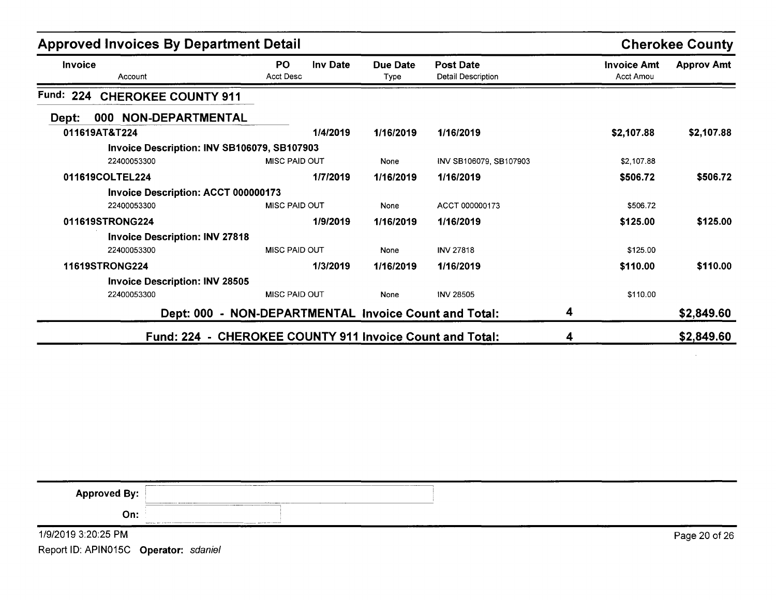| <b>Approved Invoices By Department Detail</b> | <b>Cherokee County</b>                                   |                  |                                               |                                 |                   |
|-----------------------------------------------|----------------------------------------------------------|------------------|-----------------------------------------------|---------------------------------|-------------------|
| Invoice<br>Account                            | <b>PO</b><br><b>Inv Date</b><br><b>Acct Desc</b>         | Due Date<br>Type | <b>Post Date</b><br><b>Detail Description</b> | <b>Invoice Amt</b><br>Acct Amou | <b>Approv Amt</b> |
| Fund:<br>224<br><b>CHEROKEE COUNTY 911</b>    |                                                          |                  |                                               |                                 |                   |
| 000 NON-DEPARTMENTAL<br>Dept:                 |                                                          |                  |                                               |                                 |                   |
| 011619AT&T224                                 | 1/4/2019                                                 | 1/16/2019        | 1/16/2019                                     | \$2,107.88                      | \$2,107.88        |
| Invoice Description: INV SB106079, SB107903   |                                                          |                  |                                               |                                 |                   |
| 22400053300                                   | <b>MISC PAID OUT</b>                                     | None             | INV SB106079, SB107903                        | \$2,107.88                      |                   |
| 011619COLTEL224                               | 1/7/2019                                                 | 1/16/2019        | 1/16/2019                                     | \$506.72                        | \$506.72          |
| Invoice Description: ACCT 000000173           |                                                          |                  |                                               |                                 |                   |
| 22400053300                                   | MISC PAID OUT                                            | None             | ACCT 000000173                                | \$506.72                        |                   |
| 011619STRONG224                               | 1/9/2019                                                 | 1/16/2019        | 1/16/2019                                     | \$125.00                        | \$125.00          |
| <b>Invoice Description: INV 27818</b>         |                                                          |                  |                                               |                                 |                   |
| 22400053300                                   | <b>MISC PAID OUT</b>                                     | None             | <b>INV 27818</b>                              | \$125.00                        |                   |
| 11619STRONG224                                | 1/3/2019                                                 | 1/16/2019        | 1/16/2019                                     | \$110.00                        | \$110.00          |
| <b>Invoice Description: INV 28505</b>         |                                                          |                  |                                               |                                 |                   |
| 22400053300                                   | <b>MISC PAID OUT</b>                                     | None             | <b>INV 28505</b>                              | \$110.00                        |                   |
|                                               | Dept: 000 - NON-DEPARTMENTAL Invoice Count and Total:    |                  |                                               | 4                               | \$2,849.60        |
|                                               | Fund: 224 - CHEROKEE COUNTY 911 Invoice Count and Total: |                  |                                               | 4                               | \$2,849.60        |

| <b>PERMIT REPORT OF STATISTICS</b><br><b>Approved By:</b> | ________<br>and the following as a second contract of |               |
|-----------------------------------------------------------|-------------------------------------------------------|---------------|
| On:                                                       |                                                       |               |
| 1/9/2019 3:20:25 PM                                       |                                                       | Page 20 of 26 |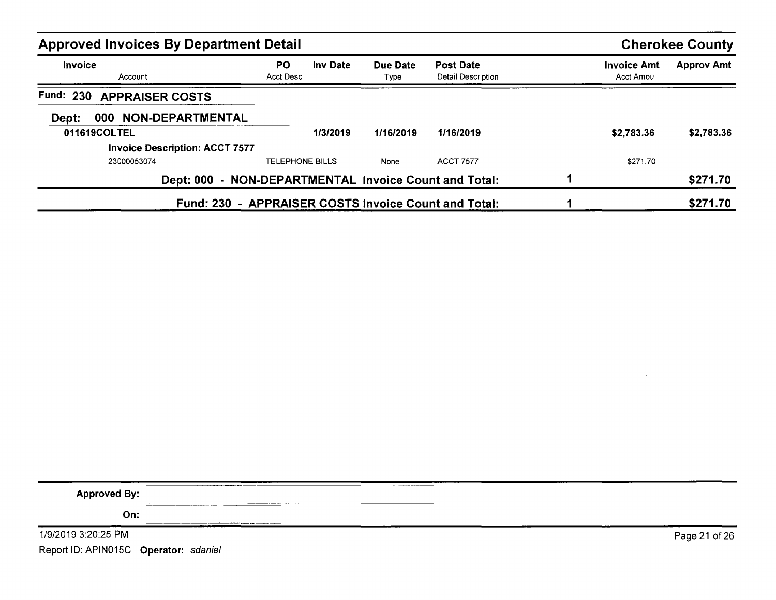| <b>Approved Invoices By Department Detail</b>         |                        |                 |                  |                                                      |  |                                 | <b>Cherokee County</b> |
|-------------------------------------------------------|------------------------|-----------------|------------------|------------------------------------------------------|--|---------------------------------|------------------------|
| Invoice<br>Account                                    | PO.<br>Acct Desc       | <b>Inv Date</b> | Due Date<br>Type | <b>Post Date</b><br>Detail Description               |  | <b>Invoice Amt</b><br>Acct Amou | <b>Approv Amt</b>      |
| Fund:<br>230<br><b>APPRAISER COSTS</b>                |                        |                 |                  |                                                      |  |                                 |                        |
| 000 NON-DEPARTMENTAL<br>Dept:                         |                        |                 |                  |                                                      |  |                                 |                        |
| 011619COLTEL                                          |                        | 1/3/2019        | 1/16/2019        | 1/16/2019                                            |  | \$2,783.36                      | \$2,783.36             |
| <b>Invoice Description: ACCT 7577</b>                 |                        |                 |                  |                                                      |  |                                 |                        |
| 23000053074                                           | <b>TELEPHONE BILLS</b> |                 | None             | <b>ACCT 7577</b>                                     |  | \$271.70                        |                        |
| Dept: 000 - NON-DEPARTMENTAL Invoice Count and Total: |                        |                 |                  |                                                      |  |                                 | \$271.70               |
|                                                       |                        |                 |                  | Fund: 230 - APPRAISER COSTS Invoice Count and Total: |  |                                 | \$271.70               |

| <b>Approved By:</b> |                                                                                                                    |               |
|---------------------|--------------------------------------------------------------------------------------------------------------------|---------------|
| On:<br>_____        | the contract of the company we are the property of the contract of the contract of the contract of the contract of |               |
| 1/9/2019 3:20:25 PM |                                                                                                                    | Page 21 of 26 |

 $\sim 10^{-1}$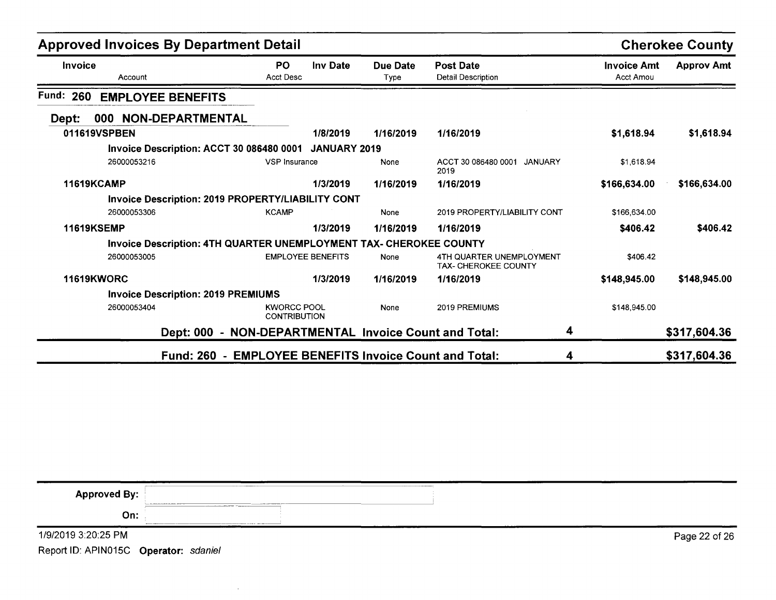| <b>Approved Invoices By Department Detail</b> |                                                                    |                                                        |                 |                  |                                                         |                                        | <b>Cherokee County</b> |
|-----------------------------------------------|--------------------------------------------------------------------|--------------------------------------------------------|-----------------|------------------|---------------------------------------------------------|----------------------------------------|------------------------|
| <b>Invoice</b>                                | Account                                                            | PO.<br><b>Acct Desc</b>                                | <b>Inv Date</b> | Due Date<br>Type | <b>Post Date</b><br><b>Detail Description</b>           | <b>Invoice Amt</b><br><b>Acct Amou</b> | <b>Approv Amt</b>      |
| Fund:<br>260                                  | <b>EMPLOYEE BENEFITS</b>                                           |                                                        |                 |                  |                                                         |                                        |                        |
| Dept:                                         | 000 NON-DEPARTMENTAL                                               |                                                        |                 |                  |                                                         |                                        |                        |
| 011619VSPBEN                                  |                                                                    |                                                        | 1/8/2019        | 1/16/2019        | 1/16/2019                                               | \$1,618.94                             | \$1,618.94             |
|                                               | Invoice Description: ACCT 30 086480 0001 JANUARY 2019              |                                                        |                 |                  |                                                         |                                        |                        |
|                                               | 26000053216                                                        | VSP Insurance                                          |                 | None             | ACCT 30 086480 0001 JANUARY<br>2019                     | \$1,618.94                             |                        |
| <b>11619KCAMP</b>                             |                                                                    |                                                        | 1/3/2019        | 1/16/2019        | 1/16/2019                                               | \$166,634.00                           | \$166,634.00           |
|                                               | Invoice Description: 2019 PROPERTY/LIABILITY CONT                  |                                                        |                 |                  |                                                         |                                        |                        |
|                                               | 26000053306                                                        | <b>KCAMP</b>                                           |                 | None             | 2019 PROPERTY/LIABILITY CONT                            | \$166,634.00                           |                        |
| <b>11619KSEMP</b>                             |                                                                    |                                                        | 1/3/2019        | 1/16/2019        | 1/16/2019                                               | \$406.42                               | \$406.42               |
|                                               | Invoice Description: 4TH QUARTER UNEMPLOYMENT TAX- CHEROKEE COUNTY |                                                        |                 |                  |                                                         |                                        |                        |
|                                               | 26000053005                                                        | <b>EMPLOYEE BENEFITS</b>                               |                 | None             | 4TH QUARTER UNEMPLOYMENT<br><b>TAX- CHEROKEE COUNTY</b> | \$406.42                               |                        |
| <b>11619KWORC</b>                             |                                                                    |                                                        | 1/3/2019        | 1/16/2019        | 1/16/2019                                               | \$148,945.00                           | \$148,945.00           |
|                                               | <b>Invoice Description: 2019 PREMIUMS</b>                          |                                                        |                 |                  |                                                         |                                        |                        |
|                                               | 26000053404                                                        | <b>KWORCC POOL</b><br><b>CONTRIBUTION</b>              |                 | None             | 2019 PREMIUMS                                           | \$148,945.00                           |                        |
|                                               |                                                                    | Dept: 000 - NON-DEPARTMENTAL Invoice Count and Total:  |                 |                  | 4                                                       |                                        | \$317,604.36           |
|                                               |                                                                    | Fund: 260 - EMPLOYEE BENEFITS Invoice Count and Total: |                 |                  | 4                                                       |                                        | \$317,604.36           |

| <b>Approved By:</b>                   |               |
|---------------------------------------|---------------|
| On:                                   |               |
| 1/9/2019 3:20:25 PM                   | Page 22 of 26 |
| Report ID: APIN015C Operator: sdaniel |               |

**Contract Contract**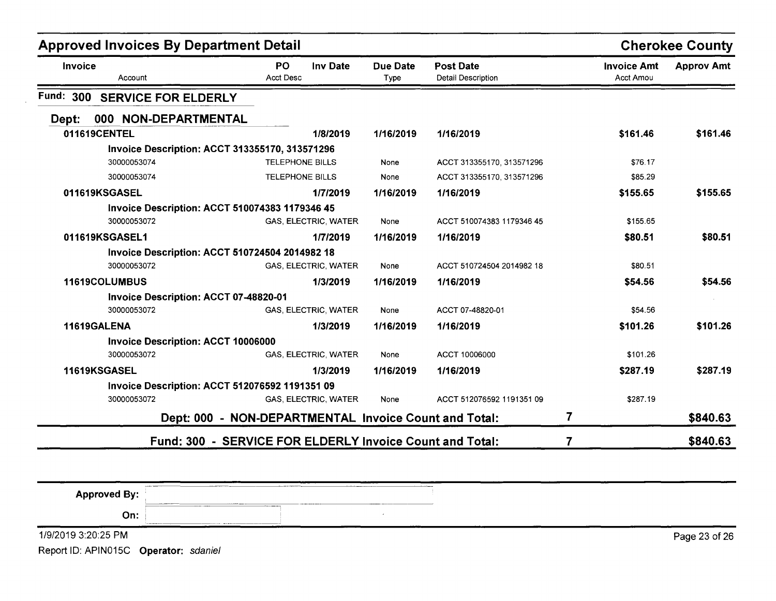| <b>Approved Invoices By Department Detail</b>         |                                                          | <b>Cherokee County</b>  |                                        |                                 |                   |
|-------------------------------------------------------|----------------------------------------------------------|-------------------------|----------------------------------------|---------------------------------|-------------------|
| Invoice<br>Account                                    | <b>PO</b><br><b>Inv Date</b><br><b>Acct Desc</b>         | <b>Due Date</b><br>Type | <b>Post Date</b><br>Detail Description | <b>Invoice Amt</b><br>Acct Amou | <b>Approv Amt</b> |
| Fund: 300<br><b>SERVICE FOR ELDERLY</b>               |                                                          |                         |                                        |                                 |                   |
| 000 NON-DEPARTMENTAL<br>Dept:                         |                                                          |                         |                                        |                                 |                   |
| 011619CENTEL                                          | 1/8/2019                                                 | 1/16/2019               | 1/16/2019                              | \$161.46                        | \$161.46          |
| Invoice Description: ACCT 313355170, 313571296        |                                                          |                         |                                        |                                 |                   |
| 30000053074                                           | <b>TELEPHONE BILLS</b>                                   | None                    | ACCT 313355170, 313571296              | \$76.17                         |                   |
| 30000053074                                           | <b>TELEPHONE BILLS</b>                                   | None                    | ACCT 313355170, 313571296              | \$85.29                         |                   |
| 011619KSGASEL                                         | 1/7/2019                                                 | 1/16/2019               | 1/16/2019                              | \$155.65                        | \$155.65          |
| <b>Invoice Description: ACCT 510074383 1179346 45</b> |                                                          |                         |                                        |                                 |                   |
| 30000053072                                           | GAS, ELECTRIC, WATER                                     | None                    | ACCT 510074383 1179346 45              | \$155.65                        |                   |
| 011619KSGASEL1                                        | 1/7/2019                                                 | 1/16/2019               | 1/16/2019                              | \$80.51                         | \$80.51           |
| <b>Invoice Description: ACCT 510724504 2014982 18</b> |                                                          |                         |                                        |                                 |                   |
| 30000053072                                           | GAS, ELECTRIC, WATER                                     | None                    | ACCT 510724504 2014982 18              | \$80.51                         |                   |
| 11619COLUMBUS                                         | 1/3/2019                                                 | 1/16/2019               | 1/16/2019                              | \$54.56                         | \$54.56           |
| Invoice Description: ACCT 07-48820-01                 |                                                          |                         |                                        |                                 |                   |
| 30000053072                                           | <b>GAS, ELECTRIC, WATER</b>                              | None                    | ACCT 07-48820-01                       | \$54.56                         |                   |
| 11619GALENA                                           | 1/3/2019                                                 | 1/16/2019               | 1/16/2019                              | \$101.26                        | \$101.26          |
| <b>Invoice Description: ACCT 10006000</b>             |                                                          |                         |                                        |                                 |                   |
| 30000053072                                           | GAS, ELECTRIC, WATER                                     | None                    | ACCT 10006000                          | \$101.26                        |                   |
| 11619KSGASEL                                          | 1/3/2019                                                 | 1/16/2019               | 1/16/2019                              | \$287.19                        | \$287.19          |
| <b>Invoice Description: ACCT 512076592 1191351 09</b> |                                                          |                         |                                        |                                 |                   |
| 30000053072                                           | GAS, ELECTRIC, WATER                                     | None                    | ACCT 512076592 1191351 09              | \$287.19                        |                   |
|                                                       | Dept: 000 - NON-DEPARTMENTAL Invoice Count and Total:    |                         | 7                                      |                                 | \$840.63          |
|                                                       | Fund: 300 - SERVICE FOR ELDERLY Invoice Count and Total: |                         |                                        |                                 | \$840.63          |

| <b>Approved By:</b> | ________<br><b>ALLIES TRANSPORT</b> | __________<br><b><i>Column Property States</i></b> | ______ |               |
|---------------------|-------------------------------------|----------------------------------------------------|--------|---------------|
| On:                 |                                     |                                                    |        |               |
| 1/9/2019 3:20:25 PM |                                     |                                                    | $   -$ | Page 23 of 26 |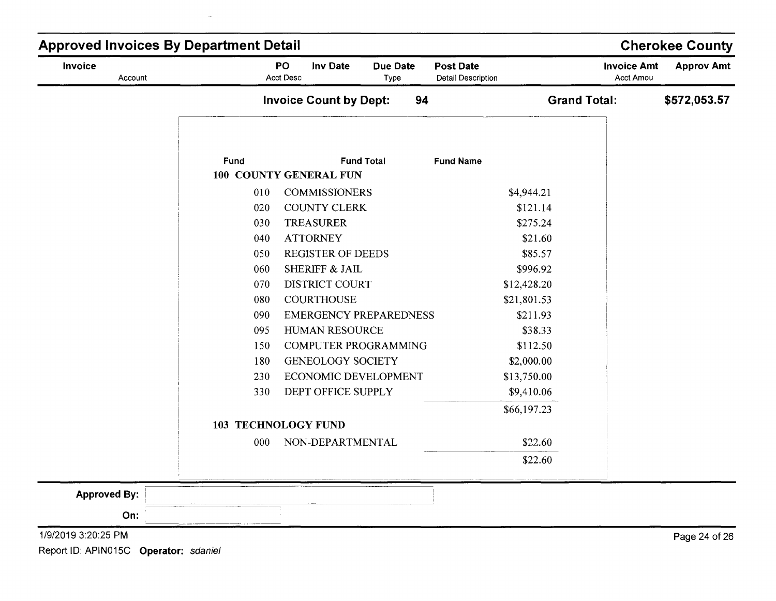| Invoice<br>Account  |      | PO<br><b>Inv Date</b><br>Acct Desc | <b>Due Date</b><br>Type | <b>Post Date</b><br><b>Detail Description</b> | <b>Invoice Amt</b><br><b>Acct Amou</b> | <b>Approv Amt</b> |
|---------------------|------|------------------------------------|-------------------------|-----------------------------------------------|----------------------------------------|-------------------|
|                     |      | <b>Invoice Count by Dept:</b>      | 94                      |                                               | <b>Grand Total:</b>                    | \$572,053.57      |
|                     |      |                                    |                         |                                               |                                        |                   |
|                     | Fund |                                    | <b>Fund Total</b>       | <b>Fund Name</b>                              |                                        |                   |
|                     |      | 100 COUNTY GENERAL FUN             |                         |                                               |                                        |                   |
|                     | 010  | <b>COMMISSIONERS</b>               |                         | \$4,944.21                                    |                                        |                   |
|                     | 020  | <b>COUNTY CLERK</b>                |                         | \$121.14                                      |                                        |                   |
|                     | 030  | <b>TREASURER</b>                   |                         | \$275.24                                      |                                        |                   |
|                     | 040  | <b>ATTORNEY</b>                    |                         | \$21.60                                       |                                        |                   |
|                     | 050  | <b>REGISTER OF DEEDS</b>           |                         | \$85.57                                       |                                        |                   |
|                     | 060  | SHERIFF & JAIL                     |                         | \$996.92                                      |                                        |                   |
|                     | 070  | DISTRICT COURT                     |                         | \$12,428.20                                   |                                        |                   |
|                     | 080  | <b>COURTHOUSE</b>                  |                         | \$21,801.53                                   |                                        |                   |
|                     | 090  | <b>EMERGENCY PREPAREDNESS</b>      |                         | \$211.93                                      |                                        |                   |
|                     | 095  | HUMAN RESOURCE                     |                         | \$38.33                                       |                                        |                   |
|                     | 150  | <b>COMPUTER PROGRAMMING</b>        |                         | \$112.50                                      |                                        |                   |
|                     | 180  | <b>GENEOLOGY SOCIETY</b>           |                         | \$2,000.00                                    |                                        |                   |
|                     | 230  | ECONOMIC DEVELOPMENT               |                         | \$13,750.00                                   |                                        |                   |
|                     | 330  | DEPT OFFICE SUPPLY                 |                         | \$9,410.06                                    |                                        |                   |
|                     |      |                                    |                         | \$66,197.23                                   |                                        |                   |
|                     |      | <b>103 TECHNOLOGY FUND</b>         |                         |                                               |                                        |                   |
|                     | 000  | NON-DEPARTMENTAL                   |                         | \$22.60                                       |                                        |                   |
|                     |      |                                    |                         | \$22.60                                       |                                        |                   |
|                     |      |                                    |                         |                                               |                                        |                   |
| <b>Approved By:</b> |      |                                    |                         |                                               |                                        |                   |
|                     |      |                                    |                         |                                               |                                        |                   |
| On:                 |      |                                    |                         |                                               |                                        |                   |

Page 24 of 26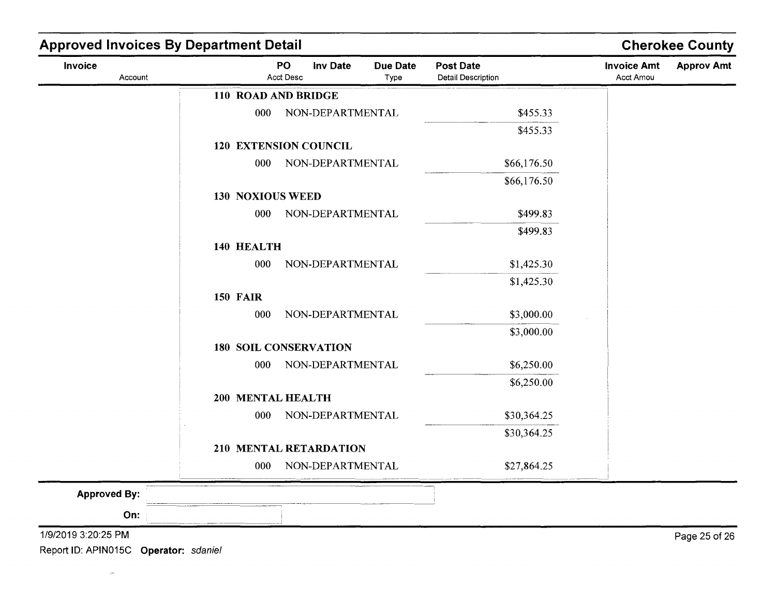| Invoice<br>Account  |                         | PO<br><b>Inv Date</b><br>Acct Desc | <b>Due Date</b><br>Type | <b>Post Date</b><br><b>Detail Description</b> | <b>Invoice Amt</b><br>Acct Amou | <b>Approv Amt</b> |
|---------------------|-------------------------|------------------------------------|-------------------------|-----------------------------------------------|---------------------------------|-------------------|
|                     | 110 ROAD AND BRIDGE     |                                    |                         |                                               |                                 |                   |
|                     | 000                     | NON-DEPARTMENTAL                   |                         | \$455.33                                      |                                 |                   |
|                     |                         |                                    |                         | \$455.33                                      |                                 |                   |
|                     |                         | <b>120 EXTENSION COUNCIL</b>       |                         |                                               |                                 |                   |
|                     | 000                     | NON-DEPARTMENTAL                   |                         | \$66,176.50                                   |                                 |                   |
|                     |                         |                                    |                         | \$66,176.50                                   |                                 |                   |
|                     | <b>130 NOXIOUS WEED</b> |                                    |                         |                                               |                                 |                   |
|                     | 000                     | NON-DEPARTMENTAL                   |                         | \$499.83                                      |                                 |                   |
|                     |                         |                                    |                         | \$499.83                                      |                                 |                   |
|                     | 140 HEALTH              |                                    |                         |                                               |                                 |                   |
|                     | 000                     | NON-DEPARTMENTAL                   |                         | \$1,425.30                                    |                                 |                   |
|                     |                         |                                    |                         | \$1,425.30                                    |                                 |                   |
|                     | <b>150 FAIR</b>         |                                    |                         |                                               |                                 |                   |
|                     | 000                     | NON-DEPARTMENTAL                   |                         | \$3,000.00                                    |                                 |                   |
|                     |                         |                                    |                         | \$3,000.00                                    |                                 |                   |
|                     |                         | <b>180 SOIL CONSERVATION</b>       |                         |                                               |                                 |                   |
|                     | 000                     | NON-DEPARTMENTAL                   |                         | \$6,250.00                                    |                                 |                   |
|                     |                         |                                    |                         | \$6,250.00                                    |                                 |                   |
|                     | 200 MENTAL HEALTH       |                                    |                         |                                               |                                 |                   |
|                     | 000                     | NON-DEPARTMENTAL                   |                         | \$30,364.25                                   |                                 |                   |
|                     |                         | 210 MENTAL RETARDATION             |                         | \$30,364.25                                   |                                 |                   |
|                     | 000                     | NON-DEPARTMENTAL                   |                         | \$27,864.25                                   |                                 |                   |
|                     |                         |                                    |                         |                                               |                                 |                   |
| <b>Approved By:</b> |                         |                                    |                         |                                               |                                 |                   |
| On:                 |                         |                                    |                         |                                               |                                 |                   |
| 1/9/2019 3:20:25 PM |                         |                                    |                         |                                               |                                 | Page 25 of 26     |